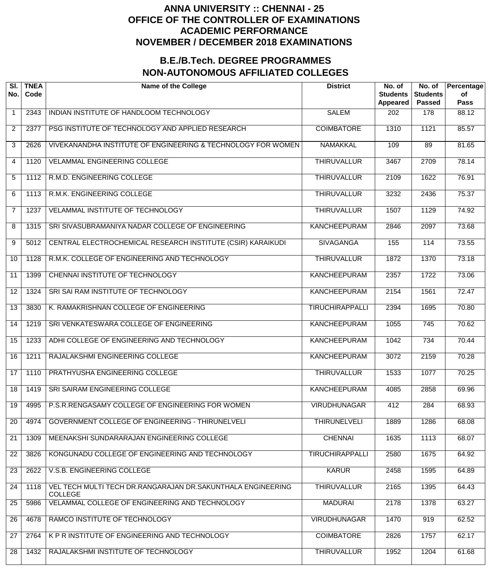| SI.<br>No.      | <b>TNEA</b><br>Code | <b>Name of the College</b>                                                    | <b>District</b>        | No. of<br><b>Students</b><br>Appeared | No. of<br><b>Students</b><br><b>Passed</b> | Percentage<br>of<br><b>Pass</b> |
|-----------------|---------------------|-------------------------------------------------------------------------------|------------------------|---------------------------------------|--------------------------------------------|---------------------------------|
| $\mathbf{1}$    | 2343                | INDIAN INSTITUTE OF HANDLOOM TECHNOLOGY                                       | <b>SALEM</b>           | 202                                   | 178                                        | 88.12                           |
| $\overline{2}$  | 2377                | PSG INSTITUTE OF TECHNOLOGY AND APPLIED RESEARCH                              | <b>COIMBATORE</b>      | 1310                                  | 1121                                       | 85.57                           |
| 3               | 2626                | VIVEKANANDHA INSTITUTE OF ENGINEERING & TECHNOLOGY FOR WOMEN                  | <b>NAMAKKAL</b>        | 109                                   | 89                                         | 81.65                           |
| 4               | 1120                | <b>VELAMMAL ENGINEERING COLLEGE</b>                                           | <b>THIRUVALLUR</b>     | 3467                                  | 2709                                       | 78.14                           |
| 5               | 1112                | R.M.D. ENGINEERING COLLEGE                                                    | <b>THIRUVALLUR</b>     | 2109                                  | 1622                                       | 76.91                           |
| 6               | 1113                | R.M.K. ENGINEERING COLLEGE                                                    | <b>THIRUVALLUR</b>     | 3232                                  | 2436                                       | 75.37                           |
| $\overline{7}$  | 1237                | VELAMMAL INSTITUTE OF TECHNOLOGY                                              | <b>THIRUVALLUR</b>     | 1507                                  | 1129                                       | 74.92                           |
| 8               | 1315                | SRI SIVASUBRAMANIYA NADAR COLLEGE OF ENGINEERING                              | <b>KANCHEEPURAM</b>    | 2846                                  | 2097                                       | 73.68                           |
| 9               | 5012                | CENTRAL ELECTROCHEMICAL RESEARCH INSTITUTE (CSIR) KARAIKUDI                   | <b>SIVAGANGA</b>       | 155                                   | 114                                        | 73.55                           |
| 10              | 1128                | R.M.K. COLLEGE OF ENGINEERING AND TECHNOLOGY                                  | <b>THIRUVALLUR</b>     | 1872                                  | 1370                                       | 73.18                           |
| 11              | 1399                | CHENNAI INSTITUTE OF TECHNOLOGY                                               | KANCHEEPURAM           | 2357                                  | 1722                                       | 73.06                           |
| 12              | 1324                | SRI SAI RAM INSTITUTE OF TECHNOLOGY                                           | KANCHEEPURAM           | 2154                                  | 1561                                       | 72.47                           |
| 13              | 3830                | K. RAMAKRISHNAN COLLEGE OF ENGINEERING                                        | <b>TIRUCHIRAPPALLI</b> | 2394                                  | 1695                                       | 70.80                           |
| 14              | 1219                | SRI VENKATESWARA COLLEGE OF ENGINEERING                                       | KANCHEEPURAM           | 1055                                  | $\overline{745}$                           | 70.62                           |
| 15              | 1233                | ADHI COLLEGE OF ENGINEERING AND TECHNOLOGY                                    | KANCHEEPURAM           | 1042                                  | $\overline{734}$                           | 70.44                           |
| $\overline{16}$ | 1211                | RAJALAKSHMI ENGINEERING COLLEGE                                               | <b>KANCHEEPURAM</b>    | 3072                                  | 2159                                       | 70.28                           |
| 17              | 1110                | PRATHYUSHA ENGINEERING COLLEGE                                                | <b>THIRUVALLUR</b>     | 1533                                  | 1077                                       | 70.25                           |
| 18              | 1419                | SRI SAIRAM ENGINEERING COLLEGE                                                | <b>KANCHEEPURAM</b>    | 4085                                  | 2858                                       | 69.96                           |
| 19              | 4995                | P.S.R.RENGASAMY COLLEGE OF ENGINEERING FOR WOMEN                              | <b>VIRUDHUNAGAR</b>    | 412                                   | 284                                        | 68.93                           |
| 20              | 4974                | GOVERNMENT COLLEGE OF ENGINEERING - THIRUNELVELI                              | <b>THIRUNELVELI</b>    | 1889                                  | 1286                                       | 68.08                           |
| 21              | 1309                | MEENAKSHI SUNDARARAJAN ENGINEERING COLLEGE                                    | <b>CHENNAI</b>         | 1635                                  | 1113                                       | 68.07                           |
| 22              | 3826                | KONGUNADU COLLEGE OF ENGINEERING AND TECHNOLOGY                               | <b>TIRUCHIRAPPALLI</b> | 2580                                  | 1675                                       | 64.92                           |
| 23              | 2622                | V.S.B. ENGINEERING COLLEGE                                                    | <b>KARUR</b>           | 2458                                  | 1595                                       | 64.89                           |
| 24              | 1118                | VEL TECH MULTI TECH DR.RANGARAJAN DR.SAKUNTHALA ENGINEERING<br><b>COLLEGE</b> | <b>THIRUVALLUR</b>     | 2165                                  | 1395                                       | 64.43                           |
| 25              | 5986                | VELAMMAL COLLEGE OF ENGINEERING AND TECHNOLOGY                                | <b>MADURAI</b>         | 2178                                  | 1378                                       | 63.27                           |
| 26              | 4678                | RAMCO INSTITUTE OF TECHNOLOGY                                                 | <b>VIRUDHUNAGAR</b>    | 1470                                  | 919                                        | 62.52                           |
| 27              | 2764                | K P R INSTITUTE OF ENGINEERING AND TECHNOLOGY                                 | <b>COIMBATORE</b>      | 2826                                  | 1757                                       | 62.17                           |
| 28              | 1432                | RAJALAKSHMI INSTITUTE OF TECHNOLOGY                                           | <b>THIRUVALLUR</b>     | 1952                                  | 1204                                       | 61.68                           |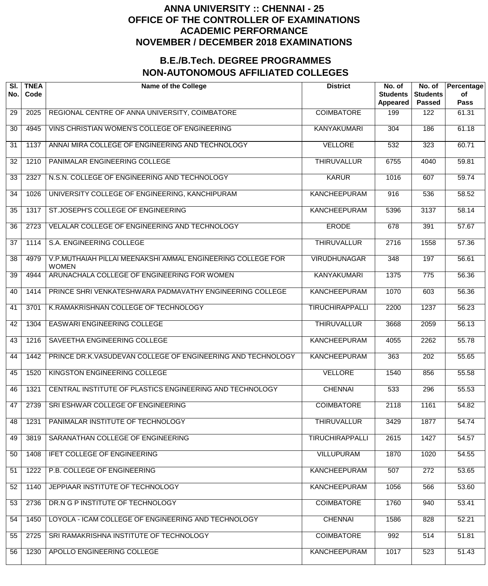| SI.<br>No. | <b>TNEA</b><br>Code | <b>Name of the College</b>                                                  | <b>District</b>        | No. of<br><b>Students</b><br>Appeared | No. of<br><b>Students</b><br><b>Passed</b> | Percentage<br>of<br><b>Pass</b> |
|------------|---------------------|-----------------------------------------------------------------------------|------------------------|---------------------------------------|--------------------------------------------|---------------------------------|
| 29         | 2025                | REGIONAL CENTRE OF ANNA UNIVERSITY, COIMBATORE                              | <b>COIMBATORE</b>      | 199                                   | 122                                        | 61.31                           |
| 30         | 4945                | VINS CHRISTIAN WOMEN'S COLLEGE OF ENGINEERING                               | <b>KANYAKUMARI</b>     | 304                                   | 186                                        | 61.18                           |
| 31         | 1137                | ANNAI MIRA COLLEGE OF ENGINEERING AND TECHNOLOGY                            | <b>VELLORE</b>         | 532                                   | 323                                        | 60.71                           |
| 32         | 1210                | PANIMALAR ENGINEERING COLLEGE                                               | <b>THIRUVALLUR</b>     | 6755                                  | 4040                                       | 59.81                           |
| 33         | 2327                | N.S.N. COLLEGE OF ENGINEERING AND TECHNOLOGY                                | <b>KARUR</b>           | 1016                                  | 607                                        | 59.74                           |
| 34         | 1026                | UNIVERSITY COLLEGE OF ENGINEERING, KANCHIPURAM                              | <b>KANCHEEPURAM</b>    | 916                                   | 536                                        | 58.52                           |
| 35         | 1317                | ST.JOSEPH'S COLLEGE OF ENGINEERING                                          | <b>KANCHEEPURAM</b>    | 5396                                  | 3137                                       | 58.14                           |
| 36         | 2723                | VELALAR COLLEGE OF ENGINEERING AND TECHNOLOGY                               | <b>ERODE</b>           | 678                                   | 391                                        | 57.67                           |
| 37         | 1114                | S.A. ENGINEERING COLLEGE                                                    | <b>THIRUVALLUR</b>     | 2716                                  | 1558                                       | 57.36                           |
| 38         | 4979                | V.P.MUTHAIAH PILLAI MEENAKSHI AMMAL ENGINEERING COLLEGE FOR<br><b>WOMEN</b> | <b>VIRUDHUNAGAR</b>    | 348                                   | 197                                        | 56.61                           |
| 39         | 4944                | ARUNACHALA COLLEGE OF ENGINEERING FOR WOMEN                                 | <b>KANYAKUMARI</b>     | 1375                                  | $\overline{775}$                           | 56.36                           |
| 40         | 1414                | PRINCE SHRI VENKATESHWARA PADMAVATHY ENGINEERING COLLEGE                    | <b>KANCHEEPURAM</b>    | 1070                                  | 603                                        | 56.36                           |
| 41         | 3701                | K.RAMAKRISHNAN COLLEGE OF TECHNOLOGY                                        | <b>TIRUCHIRAPPALLI</b> | 2200                                  | 1237                                       | 56.23                           |
| 42         | 1304                | <b>EASWARI ENGINEERING COLLEGE</b>                                          | <b>THIRUVALLUR</b>     | 3668                                  | 2059                                       | 56.13                           |
| 43         | 1216                | SAVEETHA ENGINEERING COLLEGE                                                | <b>KANCHEEPURAM</b>    | 4055                                  | 2262                                       | 55.78                           |
| 44         | 1442                | PRINCE DR.K.VASUDEVAN COLLEGE OF ENGINEERING AND TECHNOLOGY                 | <b>KANCHEEPURAM</b>    | 363                                   | $\overline{202}$                           | 55.65                           |
| 45         | 1520                | KINGSTON ENGINEERING COLLEGE                                                | <b>VELLORE</b>         | 1540                                  | 856                                        | 55.58                           |
| 46         | 1321                | CENTRAL INSTITUTE OF PLASTICS ENGINEERING AND TECHNOLOGY                    | <b>CHENNAI</b>         | 533                                   | 296                                        | 55.53                           |
| 47         | 2739                | SRI ESHWAR COLLEGE OF ENGINEERING                                           | <b>COIMBATORE</b>      | 2118                                  | 1161                                       | 54.82                           |
| 48         | 1231                | PANIMALAR INSTITUTE OF TECHNOLOGY                                           | <b>THIRUVALLUR</b>     | 3429                                  | 1877                                       | 54.74                           |
| 49         | 3819                | SARANATHAN COLLEGE OF ENGINEERING                                           | <b>TIRUCHIRAPPALLI</b> | 2615                                  | 1427                                       | 54.57                           |
| 50         | 1408                | <b>IFET COLLEGE OF ENGINEERING</b>                                          | <b>VILLUPURAM</b>      | 1870                                  | 1020                                       | 54.55                           |
| 51         | 1222                | P.B. COLLEGE OF ENGINEERING                                                 | <b>KANCHEEPURAM</b>    | 507                                   | $\overline{272}$                           | 53.65                           |
| 52         | 1140                | JEPPIAAR INSTITUTE OF TECHNOLOGY                                            | <b>KANCHEEPURAM</b>    | 1056                                  | 566                                        | 53.60                           |
| 53         | 2736                | DR.N G P INSTITUTE OF TECHNOLOGY                                            | <b>COIMBATORE</b>      | 1760                                  | 940                                        | 53.41                           |
| 54         | 1450                | LOYOLA - ICAM COLLEGE OF ENGINEERING AND TECHNOLOGY                         | <b>CHENNAI</b>         | 1586                                  | 828                                        | 52.21                           |
| 55         | 2725                | SRI RAMAKRISHNA INSTITUTE OF TECHNOLOGY                                     | <b>COIMBATORE</b>      | 992                                   | 514                                        | 51.81                           |
| 56         | 1230                | APOLLO ENGINEERING COLLEGE                                                  | <b>KANCHEEPURAM</b>    | 1017                                  | 523                                        | 51.43                           |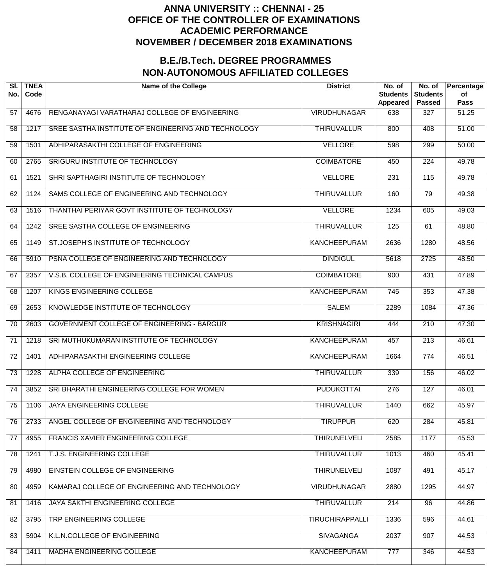| SI.<br>No.      | <b>TNEA</b><br>Code | <b>Name of the College</b>                          | <b>District</b>        | No. of<br><b>Students</b><br>Appeared | No. of<br><b>Students</b><br><b>Passed</b> | Percentage<br>of<br><b>Pass</b> |
|-----------------|---------------------|-----------------------------------------------------|------------------------|---------------------------------------|--------------------------------------------|---------------------------------|
| 57              | 4676                | RENGANAYAGI VARATHARAJ COLLEGE OF ENGINEERING       | <b>VIRUDHUNAGAR</b>    | 638                                   | 327                                        | 51.25                           |
| 58              | 1217                | SREE SASTHA INSTITUTE OF ENGINEERING AND TECHNOLOGY | <b>THIRUVALLUR</b>     | 800                                   | 408                                        | 51.00                           |
| 59              | 1501                | ADHIPARASAKTHI COLLEGE OF ENGINEERING               | <b>VELLORE</b>         | 598                                   | 299                                        | 50.00                           |
| 60              | 2765                | SRIGURU INSTITUTE OF TECHNOLOGY                     | <b>COIMBATORE</b>      | 450                                   | $\overline{224}$                           | 49.78                           |
| 61              | 1521                | SHRI SAPTHAGIRI INSTITUTE OF TECHNOLOGY             | <b>VELLORE</b>         | $\overline{231}$                      | 115                                        | 49.78                           |
| 62              | 1124                | SAMS COLLEGE OF ENGINEERING AND TECHNOLOGY          | <b>THIRUVALLUR</b>     | 160                                   | 79                                         | 49.38                           |
| 63              | 1516                | THANTHAI PERIYAR GOVT INSTITUTE OF TECHNOLOGY       | <b>VELLORE</b>         | 1234                                  | 605                                        | 49.03                           |
| 64              | 1242                | SREE SASTHA COLLEGE OF ENGINEERING                  | <b>THIRUVALLUR</b>     | 125                                   | 61                                         | 48.80                           |
| 65              | 1149                | ST.JOSEPH'S INSTITUTE OF TECHNOLOGY                 | <b>KANCHEEPURAM</b>    | 2636                                  | 1280                                       | 48.56                           |
| 66              | 5910                | PSNA COLLEGE OF ENGINEERING AND TECHNOLOGY          | <b>DINDIGUL</b>        | 5618                                  | 2725                                       | 48.50                           |
| 67              | 2357                | V.S.B. COLLEGE OF ENGINEERING TECHNICAL CAMPUS      | <b>COIMBATORE</b>      | 900                                   | 431                                        | 47.89                           |
| 68              | 1207                | KINGS ENGINEERING COLLEGE                           | <b>KANCHEEPURAM</b>    | $\overline{745}$                      | 353                                        | 47.38                           |
| 69              | 2653                | KNOWLEDGE INSTITUTE OF TECHNOLOGY                   | <b>SALEM</b>           | 2289                                  | 1084                                       | 47.36                           |
| $\overline{70}$ | 2603                | <b>GOVERNMENT COLLEGE OF ENGINEERING - BARGUR</b>   | <b>KRISHNAGIRI</b>     | 444                                   | $\overline{210}$                           | 47.30                           |
| 71              | 1218                | SRI MUTHUKUMARAN INSTITUTE OF TECHNOLOGY            | <b>KANCHEEPURAM</b>    | 457                                   | $\overline{213}$                           | 46.61                           |
| $\overline{72}$ | 1401                | ADHIPARASAKTHI ENGINEERING COLLEGE                  | <b>KANCHEEPURAM</b>    | 1664                                  | 774                                        | 46.51                           |
| $\overline{73}$ | 1228                | ALPHA COLLEGE OF ENGINEERING                        | <b>THIRUVALLUR</b>     | 339                                   | 156                                        | 46.02                           |
| $\overline{74}$ | 3852                | SRI BHARATHI ENGINEERING COLLEGE FOR WOMEN          | <b>PUDUKOTTAI</b>      | 276                                   | 127                                        | 46.01                           |
| 75              | 1106                | <b>JAYA ENGINEERING COLLEGE</b>                     | <b>THIRUVALLUR</b>     | 1440                                  | 662                                        | 45.97                           |
| 76              | 2733                | ANGEL COLLEGE OF ENGINEERING AND TECHNOLOGY         | <b>TIRUPPUR</b>        | 620                                   | 284                                        | 45.81                           |
| 77              | 4955                | FRANCIS XAVIER ENGINEERING COLLEGE                  | <b>THIRUNELVELI</b>    | 2585                                  | 1177                                       | 45.53                           |
| 78              | 1241                | T.J.S. ENGINEERING COLLEGE                          | <b>THIRUVALLUR</b>     | 1013                                  | 460                                        | 45.41                           |
| 79              | 4980                | EINSTEIN COLLEGE OF ENGINEERING                     | <b>THIRUNELVELI</b>    | 1087                                  | 491                                        | 45.17                           |
| 80              | 4959                | KAMARAJ COLLEGE OF ENGINEERING AND TECHNOLOGY       | <b>VIRUDHUNAGAR</b>    | 2880                                  | 1295                                       | 44.97                           |
| 81              | 1416                | JAYA SAKTHI ENGINEERING COLLEGE                     | <b>THIRUVALLUR</b>     | 214                                   | $\overline{96}$                            | 44.86                           |
| 82              | 3795                | TRP ENGINEERING COLLEGE                             | <b>TIRUCHIRAPPALLI</b> | 1336                                  | 596                                        | 44.61                           |
| 83              | 5904                | K.L.N.COLLEGE OF ENGINEERING                        | <b>SIVAGANGA</b>       | 2037                                  | 907                                        | 44.53                           |
| 84              | 1411                | <b>MADHA ENGINEERING COLLEGE</b>                    | <b>KANCHEEPURAM</b>    | 777                                   | 346                                        | 44.53                           |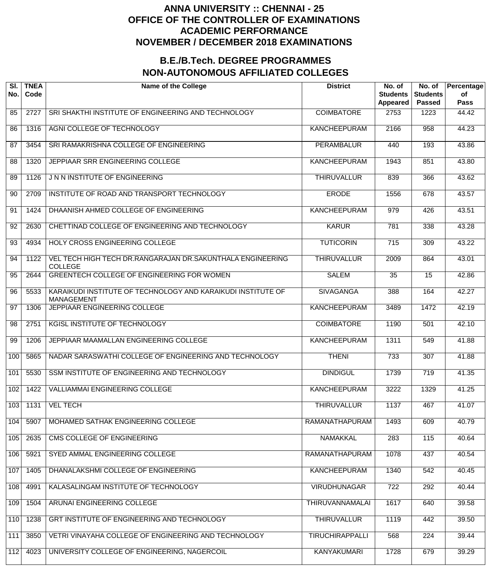| SI.<br>No. | <b>TNEA</b><br>Code | <b>Name of the College</b>                                                        | <b>District</b>        | No. of<br><b>Students</b><br>Appeared | No. of<br><b>Students</b><br><b>Passed</b> | Percentage<br>of<br>Pass |
|------------|---------------------|-----------------------------------------------------------------------------------|------------------------|---------------------------------------|--------------------------------------------|--------------------------|
| 85         | 2727                | SRI SHAKTHI INSTITUTE OF ENGINEERING AND TECHNOLOGY                               | <b>COIMBATORE</b>      | 2753                                  | 1223                                       | 44.42                    |
| 86         | 1316                | AGNI COLLEGE OF TECHNOLOGY                                                        | <b>KANCHEEPURAM</b>    | 2166                                  | 958                                        | 44.23                    |
| 87         | 3454                | SRI RAMAKRISHNA COLLEGE OF ENGINEERING                                            | <b>PERAMBALUR</b>      | 440                                   | 193                                        | 43.86                    |
| 88         | 1320                | JEPPIAAR SRR ENGINEERING COLLEGE                                                  | <b>KANCHEEPURAM</b>    | 1943                                  | 851                                        | 43.80                    |
| 89         | 1126                | J N N INSTITUTE OF ENGINEERING                                                    | <b>THIRUVALLUR</b>     | 839                                   | 366                                        | 43.62                    |
| 90         | 2709                | INSTITUTE OF ROAD AND TRANSPORT TECHNOLOGY                                        | <b>ERODE</b>           | 1556                                  | 678                                        | 43.57                    |
| 91         | 1424                | DHAANISH AHMED COLLEGE OF ENGINEERING                                             | <b>KANCHEEPURAM</b>    | $\overline{979}$                      | 426                                        | 43.51                    |
| 92         | 2630                | CHETTINAD COLLEGE OF ENGINEERING AND TECHNOLOGY                                   | <b>KARUR</b>           | 781                                   | 338                                        | 43.28                    |
| 93         | 4934                | HOLY CROSS ENGINEERING COLLEGE                                                    | <b>TUTICORIN</b>       | $\overline{715}$                      | 309                                        | 43.22                    |
| 94         | 1122                | VEL TECH HIGH TECH DR.RANGARAJAN DR.SAKUNTHALA ENGINEERING<br><b>COLLEGE</b>      | <b>THIRUVALLUR</b>     | 2009                                  | 864                                        | 43.01                    |
| 95         | 2644                | GREENTECH COLLEGE OF ENGINEERING FOR WOMEN                                        | <b>SALEM</b>           | 35                                    | 15                                         | 42.86                    |
| 96         | 5533                | KARAIKUDI INSTITUTE OF TECHNOLOGY AND KARAIKUDI INSTITUTE OF<br><b>MANAGEMENT</b> | <b>SIVAGANGA</b>       | 388                                   | 164                                        | 42.27                    |
| 97         | 1306                | JEPPIAAR ENGINEERING COLLEGE                                                      | <b>KANCHEEPURAM</b>    | 3489                                  | 1472                                       | 42.19                    |
| 98         | 2751                | <b>KGISL INSTITUTE OF TECHNOLOGY</b>                                              | <b>COIMBATORE</b>      | 1190                                  | 501                                        | 42.10                    |
| 99         | 1206                | JEPPIAAR MAAMALLAN ENGINEERING COLLEGE                                            | <b>KANCHEEPURAM</b>    | 1311                                  | 549                                        | 41.88                    |
| 100        | 5865                | NADAR SARASWATHI COLLEGE OF ENGINEERING AND TECHNOLOGY                            | <b>THENI</b>           | 733                                   | 307                                        | 41.88                    |
| 101        | 5530                | SSM INSTITUTE OF ENGINEERING AND TECHNOLOGY                                       | <b>DINDIGUL</b>        | 1739                                  | 719                                        | 41.35                    |
| 102        | 1422                | <b>VALLIAMMAI ENGINEERING COLLEGE</b>                                             | <b>KANCHEEPURAM</b>    | 3222                                  | 1329                                       | 41.25                    |
| 103        | 1131                | <b>VEL TECH</b>                                                                   | <b>THIRUVALLUR</b>     | 1137                                  | 467                                        | 41.07                    |
| 104        | 5907                | MOHAMED SATHAK ENGINEERING COLLEGE                                                | RAMANATHAPURAM         | 1493                                  | 609                                        | 40.79                    |
| 105        | 2635                | <b>CMS COLLEGE OF ENGINEERING</b>                                                 | <b>NAMAKKAL</b>        | 283                                   | 115                                        | 40.64                    |
| 106        | 5921                | SYED AMMAL ENGINEERING COLLEGE                                                    | <b>RAMANATHAPURAM</b>  | 1078                                  | 437                                        | 40.54                    |
| 107        | 1405                | DHANALAKSHMI COLLEGE OF ENGINEERING                                               | <b>KANCHEEPURAM</b>    | 1340                                  | 542                                        | 40.45                    |
| 108        | 4991                | KALASALINGAM INSTITUTE OF TECHNOLOGY                                              | <b>VIRUDHUNAGAR</b>    | 722                                   | 292                                        | 40.44                    |
| 109        | 1504                | ARUNAI ENGINEERING COLLEGE                                                        | <b>THIRUVANNAMALAI</b> | 1617                                  | 640                                        | 39.58                    |
| 110        | 1238                | GRT INSTITUTE OF ENGINEERING AND TECHNOLOGY                                       | <b>THIRUVALLUR</b>     | 1119                                  | 442                                        | 39.50                    |
| 111        | 3850                | VETRI VINAYAHA COLLEGE OF ENGINEERING AND TECHNOLOGY                              | <b>TIRUCHIRAPPALLI</b> | 568                                   | 224                                        | 39.44                    |
| 112        | 4023                | UNIVERSITY COLLEGE OF ENGINEERING, NAGERCOIL                                      | <b>KANYAKUMARI</b>     | 1728                                  | 679                                        | 39.29                    |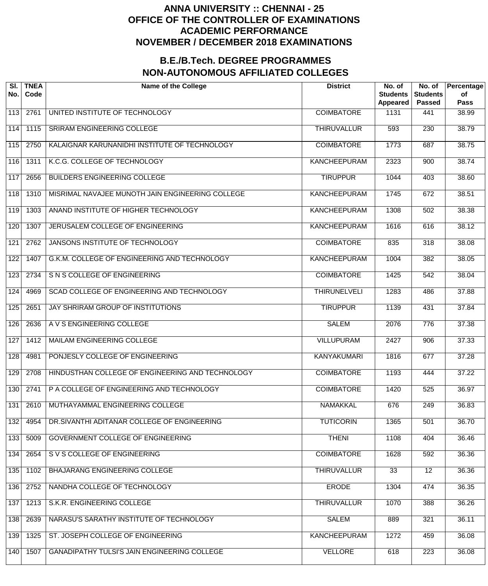| SI.<br>No.       | <b>TNEA</b><br>Code | <b>Name of the College</b>                          | <b>District</b>     | No. of<br><b>Students</b><br>Appeared | No. of<br><b>Students</b><br><b>Passed</b> | Percentage<br>οf<br><b>Pass</b> |
|------------------|---------------------|-----------------------------------------------------|---------------------|---------------------------------------|--------------------------------------------|---------------------------------|
| 113              | 2761                | UNITED INSTITUTE OF TECHNOLOGY                      | <b>COIMBATORE</b>   | 1131                                  | 441                                        | 38.99                           |
| 114              | 1115                | <b>SRIRAM ENGINEERING COLLEGE</b>                   | <b>THIRUVALLUR</b>  | 593                                   | 230                                        | 38.79                           |
| 115              | 2750                | KALAIGNAR KARUNANIDHI INSTITUTE OF TECHNOLOGY       | <b>COIMBATORE</b>   | 1773                                  | 687                                        | 38.75                           |
| 116              | 1311                | K.C.G. COLLEGE OF TECHNOLOGY                        | <b>KANCHEEPURAM</b> | 2323                                  | 900                                        | 38.74                           |
| $\overline{117}$ | 2656                | <b>BUILDERS ENGINEERING COLLEGE</b>                 | <b>TIRUPPUR</b>     | 1044                                  | 403                                        | 38.60                           |
| 118              | 1310                | MISRIMAL NAVAJEE MUNOTH JAIN ENGINEERING COLLEGE    | <b>KANCHEEPURAM</b> | 1745                                  | 672                                        | 38.51                           |
| 119              | 1303                | ANAND INSTITUTE OF HIGHER TECHNOLOGY                | <b>KANCHEEPURAM</b> | 1308                                  | 502                                        | 38.38                           |
| 120              | 1307                | JERUSALEM COLLEGE OF ENGINEERING                    | <b>KANCHEEPURAM</b> | 1616                                  | 616                                        | 38.12                           |
| 121              | 2762                | <b>JANSONS INSTITUTE OF TECHNOLOGY</b>              | <b>COIMBATORE</b>   | 835                                   | 318                                        | 38.08                           |
| 122              | 1407                | G.K.M. COLLEGE OF ENGINEERING AND TECHNOLOGY        | <b>KANCHEEPURAM</b> | 1004                                  | 382                                        | 38.05                           |
| 123              | 2734                | S N S COLLEGE OF ENGINEERING                        | <b>COIMBATORE</b>   | 1425                                  | 542                                        | 38.04                           |
| 124              | 4969                | SCAD COLLEGE OF ENGINEERING AND TECHNOLOGY          | <b>THIRUNELVELI</b> | 1283                                  | 486                                        | 37.88                           |
| 125              | 2651                | JAY SHRIRAM GROUP OF INSTITUTIONS                   | <b>TIRUPPUR</b>     | 1139                                  | 431                                        | 37.84                           |
| 126              | 2636                | A V S ENGINEERING COLLEGE                           | <b>SALEM</b>        | 2076                                  | 776                                        | 37.38                           |
| 127              | 1412                | MAILAM ENGINEERING COLLEGE                          | <b>VILLUPURAM</b>   | 2427                                  | 906                                        | 37.33                           |
| 128              | 4981                | PONJESLY COLLEGE OF ENGINEERING                     | <b>KANYAKUMARI</b>  | 1816                                  | 677                                        | 37.28                           |
| 129              | 2708                | HINDUSTHAN COLLEGE OF ENGINEERING AND TECHNOLOGY    | <b>COIMBATORE</b>   | 1193                                  | 444                                        | 37.22                           |
| 130              | 2741                | P A COLLEGE OF ENGINEERING AND TECHNOLOGY           | <b>COIMBATORE</b>   | 1420                                  | 525                                        | 36.97                           |
| 131              | 2610                | MUTHAYAMMAL ENGINEERING COLLEGE                     | <b>NAMAKKAL</b>     | 676                                   | 249                                        | 36.83                           |
| 132              | 4954                | DR.SIVANTHI ADITANAR COLLEGE OF ENGINEERING         | <b>TUTICORIN</b>    | 1365                                  | 501                                        | 36.70                           |
| 133              | 5009                | GOVERNMENT COLLEGE OF ENGINEERING                   | <b>THENI</b>        | 1108                                  | 404                                        | 36.46                           |
| 134              | 2654                | S V S COLLEGE OF ENGINEERING                        | <b>COIMBATORE</b>   | 1628                                  | 592                                        | 36.36                           |
| 135              | 1102                | <b>BHAJARANG ENGINEERING COLLEGE</b>                | <b>THIRUVALLUR</b>  | $\overline{33}$                       | $\overline{12}$                            | 36.36                           |
| 136              | 2752                | NANDHA COLLEGE OF TECHNOLOGY                        | <b>ERODE</b>        | 1304                                  | 474                                        | 36.35                           |
| 137              | 1213                | S.K.R. ENGINEERING COLLEGE                          | <b>THIRUVALLUR</b>  | 1070                                  | 388                                        | 36.26                           |
| 138              | 2639                | NARASU'S SARATHY INSTITUTE OF TECHNOLOGY            | <b>SALEM</b>        | 889                                   | 321                                        | 36.11                           |
| 139              | 1325                | ST. JOSEPH COLLEGE OF ENGINEERING                   | <b>KANCHEEPURAM</b> | 1272                                  | 459                                        | 36.08                           |
| 140              | 1507                | <b>GANADIPATHY TULSI'S JAIN ENGINEERING COLLEGE</b> | <b>VELLORE</b>      | 618                                   | 223                                        | 36.08                           |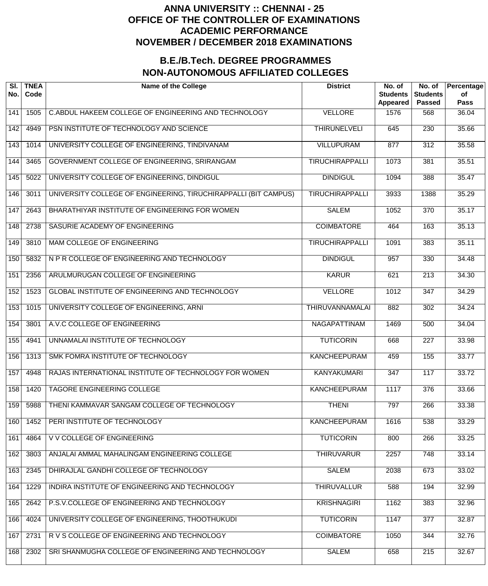| SI.<br>No.       | <b>TNEA</b><br>Code | <b>Name of the College</b>                                      | <b>District</b>        | No. of<br><b>Students</b><br><b>Appeared</b> | No. of<br><b>Students</b><br><b>Passed</b> | Percentage<br>оf<br><b>Pass</b> |
|------------------|---------------------|-----------------------------------------------------------------|------------------------|----------------------------------------------|--------------------------------------------|---------------------------------|
| 141              | 1505                | C.ABDUL HAKEEM COLLEGE OF ENGINEERING AND TECHNOLOGY            | <b>VELLORE</b>         | 1576                                         | 568                                        | 36.04                           |
| 142              | 4949                | PSN INSTITUTE OF TECHNOLOGY AND SCIENCE                         | <b>THIRUNELVELI</b>    | 645                                          | $\overline{230}$                           | 35.66                           |
| $\overline{143}$ | 1014                | UNIVERSITY COLLEGE OF ENGINEERING, TINDIVANAM                   | <b>VILLUPURAM</b>      | $\overline{877}$                             | $\overline{312}$                           | 35.58                           |
| 144              | 3465                | GOVERNMENT COLLEGE OF ENGINEERING, SRIRANGAM                    | <b>TIRUCHIRAPPALLI</b> | 1073                                         | 381                                        | 35.51                           |
| $\overline{145}$ | 5022                | UNIVERSITY COLLEGE OF ENGINEERING, DINDIGUL                     | <b>DINDIGUL</b>        | 1094                                         | 388                                        | 35.47                           |
| 146              | 3011                | UNIVERSITY COLLEGE OF ENGINEERING, TIRUCHIRAPPALLI (BIT CAMPUS) | <b>TIRUCHIRAPPALLI</b> | 3933                                         | 1388                                       | 35.29                           |
| 147              | 2643                | BHARATHIYAR INSTITUTE OF ENGINEERING FOR WOMEN                  | <b>SALEM</b>           | 1052                                         | $\overline{370}$                           | 35.17                           |
| 148              | 2738                | SASURIE ACADEMY OF ENGINEERING                                  | <b>COIMBATORE</b>      | 464                                          | 163                                        | 35.13                           |
| 149              | 3810                | MAM COLLEGE OF ENGINEERING                                      | <b>TIRUCHIRAPPALLI</b> | 1091                                         | 383                                        | 35.11                           |
| 150              | 5832                | N P R COLLEGE OF ENGINEERING AND TECHNOLOGY                     | <b>DINDIGUL</b>        | 957                                          | 330                                        | 34.48                           |
| 151              | 2356                | ARULMURUGAN COLLEGE OF ENGINEERING                              | <b>KARUR</b>           | 621                                          | $\overline{213}$                           | 34.30                           |
| 152              | 1523                | GLOBAL INSTITUTE OF ENGINEERING AND TECHNOLOGY                  | <b>VELLORE</b>         | 1012                                         | $\overline{347}$                           | 34.29                           |
| $\overline{153}$ | 1015                | UNIVERSITY COLLEGE OF ENGINEERING, ARNI                         | <b>THIRUVANNAMALAI</b> | 882                                          | 302                                        | 34.24                           |
| 154              | 3801                | A.V.C COLLEGE OF ENGINEERING                                    | NAGAPATTINAM           | 1469                                         | 500                                        | 34.04                           |
| 155              | 4941                | UNNAMALAI INSTITUTE OF TECHNOLOGY                               | <b>TUTICORIN</b>       | 668                                          | $\overline{227}$                           | 33.98                           |
| 156              | 1313                | <b>SMK FOMRA INSTITUTE OF TECHNOLOGY</b>                        | <b>KANCHEEPURAM</b>    | 459                                          | 155                                        | 33.77                           |
| 157              | 4948                | RAJAS INTERNATIONAL INSTITUTE OF TECHNOLOGY FOR WOMEN           | <b>KANYAKUMARI</b>     | $\overline{347}$                             | 117                                        | 33.72                           |
| 158              | 1420                | <b>TAGORE ENGINEERING COLLEGE</b>                               | <b>KANCHEEPURAM</b>    | 1117                                         | 376                                        | 33.66                           |
| 159              | 5988                | THENI KAMMAVAR SANGAM COLLEGE OF TECHNOLOGY                     | <b>THENI</b>           | 797                                          | 266                                        | 33.38                           |
| 160              | 1452                | PERI INSTITUTE OF TECHNOLOGY                                    | <b>KANCHEEPURAM</b>    | 1616                                         | 538                                        | 33.29                           |
| 161              | 4864                | V V COLLEGE OF ENGINEERING                                      | <b>TUTICORIN</b>       | 800                                          | 266                                        | 33.25                           |
| 162              | 3803                | ANJALAI AMMAL MAHALINGAM ENGINEERING COLLEGE                    | <b>THIRUVARUR</b>      | 2257                                         | 748                                        | 33.14                           |
| 163              | 2345                | DHIRAJLAL GANDHI COLLEGE OF TECHNOLOGY                          | <b>SALEM</b>           | 2038                                         | 673                                        | 33.02                           |
| 164              | 1229                | INDIRA INSTITUTE OF ENGINEERING AND TECHNOLOGY                  | <b>THIRUVALLUR</b>     | 588                                          | 194                                        | 32.99                           |
| 165              | 2642                | P.S.V.COLLEGE OF ENGINEERING AND TECHNOLOGY                     | <b>KRISHNAGIRI</b>     | 1162                                         | 383                                        | 32.96                           |
| 166              | 4024                | UNIVERSITY COLLEGE OF ENGINEERING, THOOTHUKUDI                  | <b>TUTICORIN</b>       | 1147                                         | $\overline{377}$                           | 32.87                           |
| 167              | 2731                | R V S COLLEGE OF ENGINEERING AND TECHNOLOGY                     | <b>COIMBATORE</b>      | 1050                                         | 344                                        | 32.76                           |
| 168              | 2302                | SRI SHANMUGHA COLLEGE OF ENGINEERING AND TECHNOLOGY             | <b>SALEM</b>           | 658                                          | 215                                        | 32.67                           |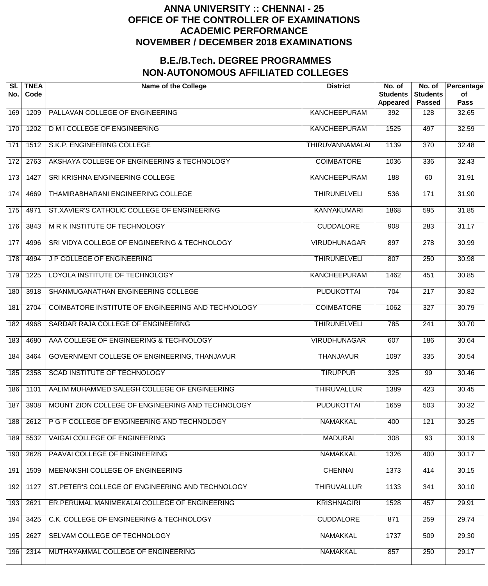| SI.<br>No.      | <b>TNEA</b><br>Code | <b>Name of the College</b>                         | <b>District</b>        | No. of<br><b>Students</b><br>Appeared | No. of<br><b>Students</b><br><b>Passed</b> | Percentage<br>of<br><b>Pass</b> |
|-----------------|---------------------|----------------------------------------------------|------------------------|---------------------------------------|--------------------------------------------|---------------------------------|
| 169             | 1209                | PALLAVAN COLLEGE OF ENGINEERING                    | <b>KANCHEEPURAM</b>    | 392                                   | 128                                        | 32.65                           |
| 170             | 1202                | <b>D M I COLLEGE OF ENGINEERING</b>                | <b>KANCHEEPURAM</b>    | 1525                                  | 497                                        | 32.59                           |
| $\frac{1}{171}$ | 1512                | S.K.P. ENGINEERING COLLEGE                         | <b>THIRUVANNAMALAI</b> | 1139                                  | $\overline{370}$                           | 32.48                           |
| 172             | 2763                | AKSHAYA COLLEGE OF ENGINEERING & TECHNOLOGY        | <b>COIMBATORE</b>      | 1036                                  | 336                                        | 32.43                           |
| 173             | 1427                | SRI KRISHNA ENGINEERING COLLEGE                    | <b>KANCHEEPURAM</b>    | 188                                   | 60                                         | 31.91                           |
| 174             | 4669                | THAMIRABHARANI ENGINEERING COLLEGE                 | <b>THIRUNELVELI</b>    | 536                                   | 171                                        | 31.90                           |
| 175             | 4971                | ST.XAVIER'S CATHOLIC COLLEGE OF ENGINEERING        | <b>KANYAKUMARI</b>     | 1868                                  | 595                                        | 31.85                           |
| 176             | 3843                | M R K INSTITUTE OF TECHNOLOGY                      | <b>CUDDALORE</b>       | 908                                   | 283                                        | 31.17                           |
| 177             | 4996                | SRI VIDYA COLLEGE OF ENGINEERING & TECHNOLOGY      | <b>VIRUDHUNAGAR</b>    | 897                                   | $\overline{278}$                           | 30.99                           |
| 178             | 4994                | <b>JP COLLEGE OF ENGINEERING</b>                   | <b>THIRUNELVELI</b>    | 807                                   | 250                                        | 30.98                           |
| 179             | 1225                | LOYOLA INSTITUTE OF TECHNOLOGY                     | <b>KANCHEEPURAM</b>    | 1462                                  | 451                                        | 30.85                           |
| 180             | 3918                | SHANMUGANATHAN ENGINEERING COLLEGE                 | <b>PUDUKOTTAI</b>      | $\overline{704}$                      | $\overline{217}$                           | 30.82                           |
| 181             | 2704                | COIMBATORE INSTITUTE OF ENGINEERING AND TECHNOLOGY | <b>COIMBATORE</b>      | 1062                                  | $\overline{327}$                           | 30.79                           |
| 182             | 4968                | SARDAR RAJA COLLEGE OF ENGINEERING                 | <b>THIRUNELVELI</b>    | 785                                   | 241                                        | 30.70                           |
| 183             | 4680                | AAA COLLEGE OF ENGINEERING & TECHNOLOGY            | <b>VIRUDHUNAGAR</b>    | 607                                   | 186                                        | 30.64                           |
| 184             | 3464                | GOVERNMENT COLLEGE OF ENGINEERING, THANJAVUR       | <b>THANJAVUR</b>       | 1097                                  | $\frac{1}{335}$                            | 30.54                           |
| 185             | 2358                | <b>SCAD INSTITUTE OF TECHNOLOGY</b>                | <b>TIRUPPUR</b>        | 325                                   | 99                                         | 30.46                           |
| 186             | 1101                | AALIM MUHAMMED SALEGH COLLEGE OF ENGINEERING       | <b>THIRUVALLUR</b>     | 1389                                  | 423                                        | 30.45                           |
| 187             | 3908                | MOUNT ZION COLLEGE OF ENGINEERING AND TECHNOLOGY   | <b>PUDUKOTTAI</b>      | 1659                                  | 503                                        | 30.32                           |
| 188             | 2612                | P G P COLLEGE OF ENGINEERING AND TECHNOLOGY        | <b>NAMAKKAL</b>        | 400                                   | 121                                        | 30.25                           |
| 189             | 5532                | VAIGAI COLLEGE OF ENGINEERING                      | <b>MADURAI</b>         | 308                                   | $\overline{93}$                            | 30.19                           |
| 190             | 2628                | PAAVAI COLLEGE OF ENGINEERING                      | <b>NAMAKKAL</b>        | 1326                                  | 400                                        | 30.17                           |
| 191             | 1509                | MEENAKSHI COLLEGE OF ENGINEERING                   | <b>CHENNAI</b>         | 1373                                  | 414                                        | 30.15                           |
| 192             | 1127                | ST. PETER'S COLLEGE OF ENGINEERING AND TECHNOLOGY  | <b>THIRUVALLUR</b>     | 1133                                  | 341                                        | 30.10                           |
| 193             | 2621                | ER.PERUMAL MANIMEKALAI COLLEGE OF ENGINEERING      | <b>KRISHNAGIRI</b>     | 1528                                  | 457                                        | 29.91                           |
| 194             | 3425                | C.K. COLLEGE OF ENGINEERING & TECHNOLOGY           | <b>CUDDALORE</b>       | 871                                   | 259                                        | 29.74                           |
| 195             | 2627                | SELVAM COLLEGE OF TECHNOLOGY                       | <b>NAMAKKAL</b>        | 1737                                  | 509                                        | 29.30                           |
| 196             | 2314                | MUTHAYAMMAL COLLEGE OF ENGINEERING                 | <b>NAMAKKAL</b>        | 857                                   | 250                                        | 29.17                           |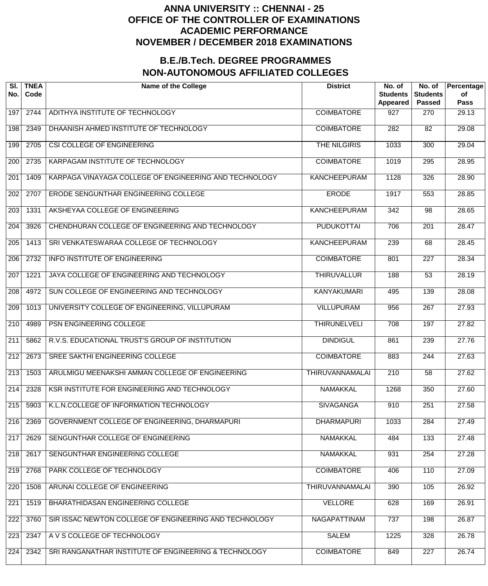| SI.<br>No.       | <b>TNEA</b><br>Code | <b>Name of the College</b>                             | <b>District</b>        | No. of<br><b>Students</b><br>Appeared | No. of<br><b>Students</b><br><b>Passed</b> | Percentage<br>of<br><b>Pass</b> |
|------------------|---------------------|--------------------------------------------------------|------------------------|---------------------------------------|--------------------------------------------|---------------------------------|
| 197              | 2744                | ADITHYA INSTITUTE OF TECHNOLOGY                        | <b>COIMBATORE</b>      | 927                                   | 270                                        | 29.13                           |
| 198              | 2349                | DHAANISH AHMED INSTITUTE OF TECHNOLOGY                 | <b>COIMBATORE</b>      | 282                                   | $\overline{82}$                            | 29.08                           |
| 199              | 2705                | CSI COLLEGE OF ENGINEERING                             | THE NILGIRIS           | 1033                                  | 300                                        | 29.04                           |
| 200              | 2735                | KARPAGAM INSTITUTE OF TECHNOLOGY                       | <b>COIMBATORE</b>      | 1019                                  | $\overline{295}$                           | 28.95                           |
| 201              | 1409                | KARPAGA VINAYAGA COLLEGE OF ENGINEERING AND TECHNOLOGY | <b>KANCHEEPURAM</b>    | 1128                                  | 326                                        | 28.90                           |
| $\overline{202}$ | 2707                | <b>ERODE SENGUNTHAR ENGINEERING COLLEGE</b>            | <b>ERODE</b>           | 1917                                  | $\overline{553}$                           | 28.85                           |
| $\overline{203}$ | 1331                | AKSHEYAA COLLEGE OF ENGINEERING                        | <b>KANCHEEPURAM</b>    | $\overline{342}$                      | $\overline{98}$                            | 28.65                           |
| $\overline{204}$ | 3926                | CHENDHURAN COLLEGE OF ENGINEERING AND TECHNOLOGY       | <b>PUDUKOTTAI</b>      | 706                                   | $\overline{201}$                           | 28.47                           |
| $\overline{205}$ | 1413                | SRI VENKATESWARAA COLLEGE OF TECHNOLOGY                | <b>KANCHEEPURAM</b>    | 239                                   | 68                                         | 28.45                           |
| $\overline{206}$ | 2732                | <b>INFO INSTITUTE OF ENGINEERING</b>                   | <b>COIMBATORE</b>      | 801                                   | $\overline{227}$                           | 28.34                           |
| 207              | 1221                | JAYA COLLEGE OF ENGINEERING AND TECHNOLOGY             | <b>THIRUVALLUR</b>     | 188                                   | $\overline{53}$                            | 28.19                           |
| $\overline{208}$ | 4972                | SUN COLLEGE OF ENGINEERING AND TECHNOLOGY              | <b>KANYAKUMARI</b>     | 495                                   | 139                                        | 28.08                           |
| 209              | 1013                | UNIVERSITY COLLEGE OF ENGINEERING, VILLUPURAM          | <b>VILLUPURAM</b>      | 956                                   | $\overline{267}$                           | 27.93                           |
| $\overline{210}$ | 4989                | PSN ENGINEERING COLLEGE                                | <b>THIRUNELVELI</b>    | 708                                   | 197                                        | 27.82                           |
| $\overline{211}$ | 5862                | R.V.S. EDUCATIONAL TRUST'S GROUP OF INSTITUTION        | <b>DINDIGUL</b>        | 861                                   | 239                                        | 27.76                           |
| 212              | 2673                | SREE SAKTHI ENGINEERING COLLEGE                        | <b>COIMBATORE</b>      | 883                                   | 244                                        | 27.63                           |
| $\overline{213}$ | 1503                | ARULMIGU MEENAKSHI AMMAN COLLEGE OF ENGINEERING        | <b>THIRUVANNAMALAI</b> | $\overline{210}$                      | 58                                         | 27.62                           |
| 214              | 2328                | KSR INSTITUTE FOR ENGINEERING AND TECHNOLOGY           | <b>NAMAKKAL</b>        | 1268                                  | 350                                        | 27.60                           |
| 215              | 5903                | K.L.N.COLLEGE OF INFORMATION TECHNOLOGY                | <b>SIVAGANGA</b>       | 910                                   | 251                                        | 27.58                           |
| 216              | 2369                | GOVERNMENT COLLEGE OF ENGINEERING, DHARMAPURI          | <b>DHARMAPURI</b>      | 1033                                  | 284                                        | 27.49                           |
| 217              | 2629                | SENGUNTHAR COLLEGE OF ENGINEERING                      | <b>NAMAKKAL</b>        | 484                                   | 133                                        | 27.48                           |
| 218              | 2617                | SENGUNTHAR ENGINEERING COLLEGE                         | <b>NAMAKKAL</b>        | 931                                   | 254                                        | 27.28                           |
| 219              | 2768                | PARK COLLEGE OF TECHNOLOGY                             | <b>COIMBATORE</b>      | 406                                   | 110                                        | 27.09                           |
| 220              | 1508                | ARUNAI COLLEGE OF ENGINEERING                          | <b>THIRUVANNAMALAI</b> | 390                                   | 105                                        | 26.92                           |
| 221              | 1519                | BHARATHIDASAN ENGINEERING COLLEGE                      | <b>VELLORE</b>         | 628                                   | 169                                        | 26.91                           |
| 222              | 3760                | SIR ISSAC NEWTON COLLEGE OF ENGINEERING AND TECHNOLOGY | NAGAPATTINAM           | 737                                   | 198                                        | 26.87                           |
| 223              | 2347                | A V S COLLEGE OF TECHNOLOGY                            | <b>SALEM</b>           | 1225                                  | 328                                        | 26.78                           |
| 224              | 2342                | SRI RANGANATHAR INSTITUTE OF ENGINEERING & TECHNOLOGY  | <b>COIMBATORE</b>      | 849                                   | $\overline{227}$                           | 26.74                           |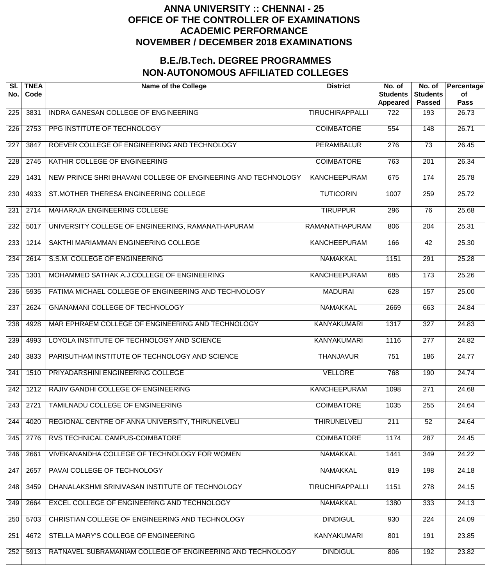| SI.<br>No.       | <b>TNEA</b><br>Code | <b>Name of the College</b>                                    | <b>District</b>        | No. of<br><b>Students</b><br><b>Appeared</b> | No. of<br><b>Students</b><br><b>Passed</b> | Percentage<br>of<br><b>Pass</b> |
|------------------|---------------------|---------------------------------------------------------------|------------------------|----------------------------------------------|--------------------------------------------|---------------------------------|
| 225              | 3831                | INDRA GANESAN COLLEGE OF ENGINEERING                          | <b>TIRUCHIRAPPALLI</b> | 722                                          | 193                                        | 26.73                           |
| 226              | 2753                | PPG INSTITUTE OF TECHNOLOGY                                   | <b>COIMBATORE</b>      | $\overline{554}$                             | 148                                        | 26.71                           |
| 227              | 3847                | ROEVER COLLEGE OF ENGINEERING AND TECHNOLOGY                  | <b>PERAMBALUR</b>      | $\overline{276}$                             | $\overline{73}$                            | 26.45                           |
| $\overline{228}$ | 2745                | KATHIR COLLEGE OF ENGINEERING                                 | <b>COIMBATORE</b>      | 763                                          | $\overline{201}$                           | 26.34                           |
| 229              | 1431                | NEW PRINCE SHRI BHAVANI COLLEGE OF ENGINEERING AND TECHNOLOGY | <b>KANCHEEPURAM</b>    | 675                                          | 174                                        | 25.78                           |
| 230              | 4933                | ST.MOTHER THERESA ENGINEERING COLLEGE                         | <b>TUTICORIN</b>       | 1007                                         | 259                                        | 25.72                           |
| 231              | 2714                | MAHARAJA ENGINEERING COLLEGE                                  | <b>TIRUPPUR</b>        | 296                                          | 76                                         | 25.68                           |
| 232              | 5017                | UNIVERSITY COLLEGE OF ENGINEERING, RAMANATHAPURAM             | <b>RAMANATHAPURAM</b>  | 806                                          | $\overline{204}$                           | 25.31                           |
| 233              | 1214                | SAKTHI MARIAMMAN ENGINEERING COLLEGE                          | <b>KANCHEEPURAM</b>    | 166                                          | $\overline{42}$                            | 25.30                           |
| 234              | 2614                | S.S.M. COLLEGE OF ENGINEERING                                 | <b>NAMAKKAL</b>        | 1151                                         | $\overline{291}$                           | 25.28                           |
| 235              | 1301                | MOHAMMED SATHAK A.J.COLLEGE OF ENGINEERING                    | <b>KANCHEEPURAM</b>    | 685                                          | $\overline{173}$                           | 25.26                           |
| 236              | 5935                | FATIMA MICHAEL COLLEGE OF ENGINEERING AND TECHNOLOGY          | <b>MADURAI</b>         | 628                                          | 157                                        | 25.00                           |
| 237              | 2624                | <b>GNANAMANI COLLEGE OF TECHNOLOGY</b>                        | <b>NAMAKKAL</b>        | 2669                                         | 663                                        | 24.84                           |
| 238              | 4928                | MAR EPHRAEM COLLEGE OF ENGINEERING AND TECHNOLOGY             | <b>KANYAKUMARI</b>     | 1317                                         | $\overline{327}$                           | 24.83                           |
| 239              | 4993                | LOYOLA INSTITUTE OF TECHNOLOGY AND SCIENCE                    | <b>KANYAKUMARI</b>     | 1116                                         | $\overline{277}$                           | 24.82                           |
| 240              | 3833                | PARISUTHAM INSTITUTE OF TECHNOLOGY AND SCIENCE                | <b>THANJAVUR</b>       | 751                                          | 186                                        | 24.77                           |
| 241              | 1510                | PRIYADARSHINI ENGINEERING COLLEGE                             | <b>VELLORE</b>         | 768                                          | 190                                        | 24.74                           |
| 242              | 1212                | RAJIV GANDHI COLLEGE OF ENGINEERING                           | <b>KANCHEEPURAM</b>    | 1098                                         | 271                                        | 24.68                           |
| 243              | 2721                | TAMILNADU COLLEGE OF ENGINEERING                              | <b>COIMBATORE</b>      | 1035                                         | 255                                        | 24.64                           |
| 244              | 4020                | REGIONAL CENTRE OF ANNA UNIVERSITY, THIRUNELVELI              | <b>THIRUNELVELI</b>    | $\overline{211}$                             | $\overline{52}$                            | 24.64                           |
| 245              | 2776                | RVS TECHNICAL CAMPUS-COIMBATORE                               | <b>COIMBATORE</b>      | 1174                                         | 287                                        | 24.45                           |
| 246              | 2661                | VIVEKANANDHA COLLEGE OF TECHNOLOGY FOR WOMEN                  | <b>NAMAKKAL</b>        | 1441                                         | 349                                        | 24.22                           |
| 247              | 2657                | PAVAI COLLEGE OF TECHNOLOGY                                   | <b>NAMAKKAL</b>        | 819                                          | 198                                        | 24.18                           |
| 248              | 3459                | DHANALAKSHMI SRINIVASAN INSTITUTE OF TECHNOLOGY               | <b>TIRUCHIRAPPALLI</b> | 1151                                         | 278                                        | 24.15                           |
| 249              | 2664                | EXCEL COLLEGE OF ENGINEERING AND TECHNOLOGY                   | <b>NAMAKKAL</b>        | 1380                                         | 333                                        | 24.13                           |
| 250              | 5703                | CHRISTIAN COLLEGE OF ENGINEERING AND TECHNOLOGY               | <b>DINDIGUL</b>        | 930                                          | $\overline{224}$                           | 24.09                           |
| 251              | 4672                | STELLA MARY'S COLLEGE OF ENGINEERING                          | <b>KANYAKUMARI</b>     | 801                                          | 191                                        | 23.85                           |
| 252              | 5913                | RATNAVEL SUBRAMANIAM COLLEGE OF ENGINEERING AND TECHNOLOGY    | <b>DINDIGUL</b>        | 806                                          | 192                                        | 23.82                           |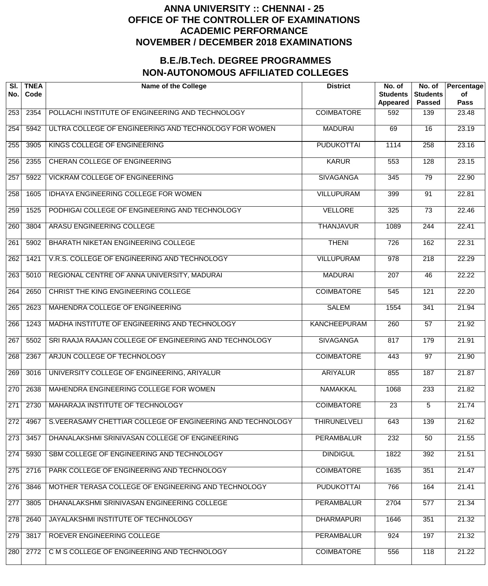| SI.<br>No.       | <b>TNEA</b><br>Code | <b>Name of the College</b>                                 | <b>District</b>     | No. of<br><b>Students</b><br><b>Appeared</b> | No. of<br><b>Students</b><br><b>Passed</b> | Percentage<br>of<br><b>Pass</b> |
|------------------|---------------------|------------------------------------------------------------|---------------------|----------------------------------------------|--------------------------------------------|---------------------------------|
| 253              | 2354                | POLLACHI INSTITUTE OF ENGINEERING AND TECHNOLOGY           | <b>COIMBATORE</b>   | 592                                          | 139                                        | 23.48                           |
| 254              | 5942                | ULTRA COLLEGE OF ENGINEERING AND TECHNOLOGY FOR WOMEN      | <b>MADURAI</b>      | 69                                           | $\overline{16}$                            | 23.19                           |
| 255              | 3905                | KINGS COLLEGE OF ENGINEERING                               | <b>PUDUKOTTAI</b>   | 1114                                         | $\overline{258}$                           | 23.16                           |
| 256              | 2355                | CHERAN COLLEGE OF ENGINEERING                              | <b>KARUR</b>        | 553                                          | 128                                        | 23.15                           |
| 257              | 5922                | <b>VICKRAM COLLEGE OF ENGINEERING</b>                      | <b>SIVAGANGA</b>    | 345                                          | 79                                         | 22.90                           |
| 258              | 1605                | IDHAYA ENGINEERING COLLEGE FOR WOMEN                       | <b>VILLUPURAM</b>   | 399                                          | 91                                         | 22.81                           |
| 259              | 1525                | PODHIGAI COLLEGE OF ENGINEERING AND TECHNOLOGY             | <b>VELLORE</b>      | 325                                          | $\overline{73}$                            | 22.46                           |
| 260              | 3804                | ARASU ENGINEERING COLLEGE                                  | <b>THANJAVUR</b>    | 1089                                         | 244                                        | 22.41                           |
| $\overline{261}$ | 5902                | BHARATH NIKETAN ENGINEERING COLLEGE                        | <b>THENI</b>        | $\overline{726}$                             | 162                                        | 22.31                           |
| 262              | 1421                | V.R.S. COLLEGE OF ENGINEERING AND TECHNOLOGY               | <b>VILLUPURAM</b>   | $\overline{978}$                             | $\overline{218}$                           | 22.29                           |
| 263              | 5010                | REGIONAL CENTRE OF ANNA UNIVERSITY, MADURAI                | <b>MADURAI</b>      | $\overline{207}$                             | $\overline{46}$                            | 22.22                           |
| 264              | 2650                | CHRIST THE KING ENGINEERING COLLEGE                        | <b>COIMBATORE</b>   | $\overline{545}$                             | 121                                        | 22.20                           |
| 265              | 2623                | MAHENDRA COLLEGE OF ENGINEERING                            | <b>SALEM</b>        | 1554                                         | $\overline{341}$                           | 21.94                           |
| 266              | 1243                | MADHA INSTITUTE OF ENGINEERING AND TECHNOLOGY              | <b>KANCHEEPURAM</b> | 260                                          | $\overline{57}$                            | 21.92                           |
| 267              | 5502                | SRI RAAJA RAAJAN COLLEGE OF ENGINEERING AND TECHNOLOGY     | <b>SIVAGANGA</b>    | 817                                          | 179                                        | 21.91                           |
| 268              | 2367                | ARJUN COLLEGE OF TECHNOLOGY                                | <b>COIMBATORE</b>   | 443                                          | $\overline{97}$                            | 21.90                           |
| 269              | 3016                | UNIVERSITY COLLEGE OF ENGINEERING, ARIYALUR                | <b>ARIYALUR</b>     | 855                                          | 187                                        | 21.87                           |
| 270              | 2638                | MAHENDRA ENGINEERING COLLEGE FOR WOMEN                     | <b>NAMAKKAL</b>     | 1068                                         | 233                                        | 21.82                           |
| 271              | 2730                | MAHARAJA INSTITUTE OF TECHNOLOGY                           | <b>COIMBATORE</b>   | $\overline{23}$                              | $\overline{5}$                             | 21.74                           |
| 272              | 4967                | S.VEERASAMY CHETTIAR COLLEGE OF ENGINEERING AND TECHNOLOGY | <b>THIRUNELVELI</b> | 643                                          | 139                                        | 21.62                           |
| 273              | 3457                | DHANALAKSHMI SRINIVASAN COLLEGE OF ENGINEERING             | <b>PERAMBALUR</b>   | 232                                          | 50                                         | 21.55                           |
| 274              | 5930                | SBM COLLEGE OF ENGINEERING AND TECHNOLOGY                  | <b>DINDIGUL</b>     | 1822                                         | 392                                        | 21.51                           |
| 275              | 2716                | PARK COLLEGE OF ENGINEERING AND TECHNOLOGY                 | <b>COIMBATORE</b>   | 1635                                         | 351                                        | 21.47                           |
| 276              | 3846                | MOTHER TERASA COLLEGE OF ENGINEERING AND TECHNOLOGY        | <b>PUDUKOTTAI</b>   | 766                                          | 164                                        | 21.41                           |
| 277              | 3805                | DHANALAKSHMI SRINIVASAN ENGINEERING COLLEGE                | <b>PERAMBALUR</b>   | 2704                                         | 577                                        | 21.34                           |
| 278              | 2640                | JAYALAKSHMI INSTITUTE OF TECHNOLOGY                        | <b>DHARMAPURI</b>   | 1646                                         | 351                                        | 21.32                           |
| 279              | 3817                | ROEVER ENGINEERING COLLEGE                                 | <b>PERAMBALUR</b>   | 924                                          | 197                                        | 21.32                           |
| 280              | 2772                | C M S COLLEGE OF ENGINEERING AND TECHNOLOGY                | <b>COIMBATORE</b>   | 556                                          | 118                                        | 21.22                           |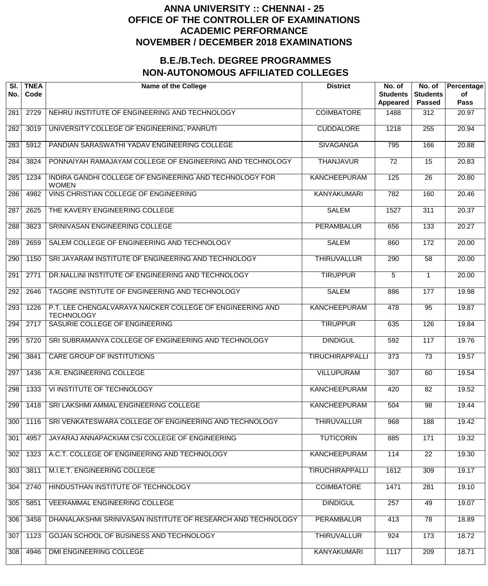| SI.<br>No. | <b>TNEA</b><br>Code | <b>Name of the College</b>                                                     | <b>District</b>        | No. of<br><b>Students</b><br><b>Appeared</b> | No. of<br><b>Students</b><br><b>Passed</b> | Percentage<br>of<br>Pass |
|------------|---------------------|--------------------------------------------------------------------------------|------------------------|----------------------------------------------|--------------------------------------------|--------------------------|
| 281        | 2729                | NEHRU INSTITUTE OF ENGINEERING AND TECHNOLOGY                                  | <b>COIMBATORE</b>      | 1488                                         | 312                                        | 20.97                    |
| 282        | 3019                | UNIVERSITY COLLEGE OF ENGINEERING, PANRUTI                                     | <b>CUDDALORE</b>       | 1218                                         | 255                                        | 20.94                    |
| 283        | 5912                | PANDIAN SARASWATHI YADAV ENGINEERING COLLEGE                                   | <b>SIVAGANGA</b>       | 795                                          | 166                                        | 20.88                    |
| 284        | 3824                | PONNAIYAH RAMAJAYAM COLLEGE OF ENGINEERING AND TECHNOLOGY                      | <b>THANJAVUR</b>       | $\overline{72}$                              | 15                                         | 20.83                    |
| 285        | 1234                | INDIRA GANDHI COLLEGE OF ENGINEERING AND TECHNOLOGY FOR<br><b>WOMEN</b>        | <b>KANCHEEPURAM</b>    | 125                                          | $\overline{26}$                            | 20.80                    |
| 286        | 4982                | VINS CHRISTIAN COLLEGE OF ENGINEERING                                          | <b>KANYAKUMARI</b>     | 782                                          | 160                                        | 20.46                    |
| 287        | 2625                | THE KAVERY ENGINEERING COLLEGE                                                 | <b>SALEM</b>           | 1527                                         | 311                                        | 20.37                    |
| 288        | 3823                | SRINIVASAN ENGINEERING COLLEGE                                                 | <b>PERAMBALUR</b>      | 656                                          | 133                                        | 20.27                    |
| 289        | 2659                | SALEM COLLEGE OF ENGINEERING AND TECHNOLOGY                                    | <b>SALEM</b>           | 860                                          | 172                                        | 20.00                    |
| 290        | 1150                | SRI JAYARAM INSTITUTE OF ENGINEERING AND TECHNOLOGY                            | <b>THIRUVALLUR</b>     | 290                                          | 58                                         | 20.00                    |
| 291        | 2771                | DR.NALLINI INSTITUTE OF ENGINEERING AND TECHNOLOGY                             | <b>TIRUPPUR</b>        | 5                                            | $\mathbf 1$                                | 20.00                    |
| 292        | 2646                | TAGORE INSTITUTE OF ENGINEERING AND TECHNOLOGY                                 | <b>SALEM</b>           | 886                                          | 177                                        | 19.98                    |
| 293        | 1226                | P.T. LEE CHENGALVARAYA NAICKER COLLEGE OF ENGINEERING AND<br><b>TECHNOLOGY</b> | <b>KANCHEEPURAM</b>    | 478                                          | 95                                         | 19.87                    |
| 294        | 2717                | SASURIE COLLEGE OF ENGINEERING                                                 | <b>TIRUPPUR</b>        | 635                                          | 126                                        | 19.84                    |
| 295        | 5720                | SRI SUBRAMANYA COLLEGE OF ENGINEERING AND TECHNOLOGY                           | <b>DINDIGUL</b>        | 592                                          | 117                                        | 19.76                    |
| 296        | 3841                | <b>CARE GROUP OF INSTITUTIONS</b>                                              | <b>TIRUCHIRAPPALLI</b> | $\overline{373}$                             | $\overline{73}$                            | 19.57                    |
| 297        | 1436                | A.R. ENGINEERING COLLEGE                                                       | VILLUPURAM             | 307                                          | 60                                         | 19.54                    |
| 298        | 1333                | VI INSTITUTE OF TECHNOLOGY                                                     | <b>KANCHEEPURAM</b>    | 420                                          | 82                                         | 19.52                    |
| 299        | 1418                | SRI LAKSHMI AMMAL ENGINEERING COLLEGE                                          | <b>KANCHEEPURAM</b>    | 504                                          | $\overline{98}$                            | 19.44                    |
| 300        | 1116                | SRI VENKATESWARA COLLEGE OF ENGINEERING AND TECHNOLOGY                         | <b>THIRUVALLUR</b>     | 968                                          | 188                                        | 19.42                    |
| 301        | 4957                | JAYARAJ ANNAPACKIAM CSI COLLEGE OF ENGINEERING                                 | <b>TUTICORIN</b>       | 885                                          | 171                                        | 19.32                    |
| 302        | 1323                | A.C.T. COLLEGE OF ENGINEERING AND TECHNOLOGY                                   | <b>KANCHEEPURAM</b>    | 114                                          | $\overline{22}$                            | 19.30                    |
| 303        | 3811                | M.I.E.T. ENGINEERING COLLEGE                                                   | <b>TIRUCHIRAPPALLI</b> | 1612                                         | 309                                        | 19.17                    |
| 304        | 2740                | HINDUSTHAN INSTITUTE OF TECHNOLOGY                                             | <b>COIMBATORE</b>      | 1471                                         | 281                                        | 19.10                    |
| 305        | 5851                | <b>VEERAMMAL ENGINEERING COLLEGE</b>                                           | <b>DINDIGUL</b>        | 257                                          | 49                                         | 19.07                    |
| 306        | 3458                | DHANALAKSHMI SRINIVASAN INSTITUTE OF RESEARCH AND TECHNOLOGY                   | <b>PERAMBALUR</b>      | 413                                          | $\overline{78}$                            | 18.89                    |
| 307        | 1123                | GOJAN SCHOOL OF BUSINESS AND TECHNOLOGY                                        | <b>THIRUVALLUR</b>     | 924                                          | 173                                        | 18.72                    |
| 308        | 4946                | DMI ENGINEERING COLLEGE                                                        | <b>KANYAKUMARI</b>     | 1117                                         | 209                                        | 18.71                    |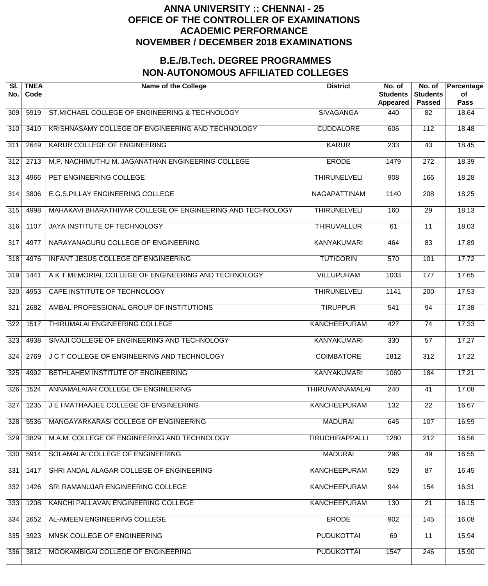| SI.<br>No.       | <b>TNEA</b><br>Code | <b>Name of the College</b>                                 | <b>District</b>        | No. of<br><b>Students</b><br><b>Appeared</b> | No. of<br><b>Students</b><br><b>Passed</b> | Percentage<br>of<br><b>Pass</b> |
|------------------|---------------------|------------------------------------------------------------|------------------------|----------------------------------------------|--------------------------------------------|---------------------------------|
| 309              | 5919                | ST.MICHAEL COLLEGE OF ENGINEERING & TECHNOLOGY             | <b>SIVAGANGA</b>       | 440                                          | 82                                         | 18.64                           |
| $\overline{310}$ | 3410                | KRISHNASAMY COLLEGE OF ENGINEERING AND TECHNOLOGY          | <b>CUDDALORE</b>       | 606                                          | 112                                        | 18.48                           |
| 311              | 2649                | KARUR COLLEGE OF ENGINEERING                               | <b>KARUR</b>           | 233                                          | $\overline{43}$                            | 18.45                           |
| $\overline{312}$ | 2713                | M.P. NACHIMUTHU M. JAGANATHAN ENGINEERING COLLEGE          | <b>ERODE</b>           | 1479                                         | $\overline{272}$                           | 18.39                           |
| $\overline{313}$ | 4966                | PET ENGINEERING COLLEGE                                    | <b>THIRUNELVELI</b>    | 908                                          | 166                                        | 18.28                           |
| $\overline{314}$ | 3806                | E.G.S.PILLAY ENGINEERING COLLEGE                           | <b>NAGAPATTINAM</b>    | 1140                                         | $\overline{208}$                           | 18.25                           |
| 315              | 4998                | MAHAKAVI BHARATHIYAR COLLEGE OF ENGINEERING AND TECHNOLOGY | <b>THIRUNELVELI</b>    | 160                                          | $\overline{29}$                            | 18.13                           |
| 316              | 1107                | JAYA INSTITUTE OF TECHNOLOGY                               | <b>THIRUVALLUR</b>     | 61                                           | $\overline{11}$                            | 18.03                           |
| $\overline{317}$ | 4977                | NARAYANAGURU COLLEGE OF ENGINEERING                        | <b>KANYAKUMARI</b>     | 464                                          | $\overline{83}$                            | 17.89                           |
| 318              | 4976                | INFANT JESUS COLLEGE OF ENGINEERING                        | <b>TUTICORIN</b>       | $\overline{570}$                             | 101                                        | 17.72                           |
| 319              | 1441                | A K T MEMORIAL COLLEGE OF ENGINEERING AND TECHNOLOGY       | <b>VILLUPURAM</b>      | 1003                                         | 177                                        | 17.65                           |
| 320              | 4953                | CAPE INSTITUTE OF TECHNOLOGY                               | <b>THIRUNELVELI</b>    | 1141                                         | $\overline{200}$                           | 17.53                           |
| 321              | 2682                | AMBAL PROFESSIONAL GROUP OF INSTITUTIONS                   | <b>TIRUPPUR</b>        | 541                                          | 94                                         | 17.38                           |
| $\overline{322}$ | 1517                | THIRUMALAI ENGINEERING COLLEGE                             | <b>KANCHEEPURAM</b>    | 427                                          | $\overline{74}$                            | 17.33                           |
| 323              | 4938                | SIVAJI COLLEGE OF ENGINEERING AND TECHNOLOGY               | <b>KANYAKUMARI</b>     | 330                                          | $\overline{57}$                            | 17.27                           |
| 324              | 2769                | J C T COLLEGE OF ENGINEERING AND TECHNOLOGY                | <b>COIMBATORE</b>      | 1812                                         | 312                                        | 17.22                           |
| 325              | 4992                | <b>BETHLAHEM INSTITUTE OF ENGINEERING</b>                  | <b>KANYAKUMARI</b>     | 1069                                         | 184                                        | 17.21                           |
| 326              | 1524                | ANNAMALAIAR COLLEGE OF ENGINEERING                         | THIRUVANNAMALAI        | 240                                          | 41                                         | 17.08                           |
| 327              | 1235                | J E I MATHAAJEE COLLEGE OF ENGINEERING                     | <b>KANCHEEPURAM</b>    | 132                                          | $\overline{22}$                            | 16.67                           |
| 328              | 5536                | MANGAYARKARASI COLLEGE OF ENGINEERING                      | <b>MADURAI</b>         | 645                                          | 107                                        | 16.59                           |
| 329              | 3829                | M.A.M. COLLEGE OF ENGINEERING AND TECHNOLOGY               | <b>TIRUCHIRAPPALLI</b> | 1280                                         | $\overline{212}$                           | 16.56                           |
| 330              | 5914                | SOLAMALAI COLLEGE OF ENGINEERING                           | <b>MADURAI</b>         | 296                                          | 49                                         | 16.55                           |
| 331              | 1417                | SHRI ANDAL ALAGAR COLLEGE OF ENGINEERING                   | <b>KANCHEEPURAM</b>    | 529                                          | 87                                         | 16.45                           |
| 332              | 1426                | SRI RAMANUJAR ENGINEERING COLLEGE                          | <b>KANCHEEPURAM</b>    | 944                                          | 154                                        | 16.31                           |
| 333              | 1208                | KANCHI PALLAVAN ENGINEERING COLLEGE                        | <b>KANCHEEPURAM</b>    | 130                                          | $\overline{21}$                            | 16.15                           |
| 334              | 2652                | AL-AMEEN ENGINEERING COLLEGE                               | <b>ERODE</b>           | 902                                          | 145                                        | 16.08                           |
| 335              | 3923                | MNSK COLLEGE OF ENGINEERING                                | <b>PUDUKOTTAI</b>      | 69                                           | $\overline{11}$                            | 15.94                           |
| 336              | 3812                | MOOKAMBIGAI COLLEGE OF ENGINEERING                         | <b>PUDUKOTTAI</b>      | 1547                                         | $\overline{246}$                           | 15.90                           |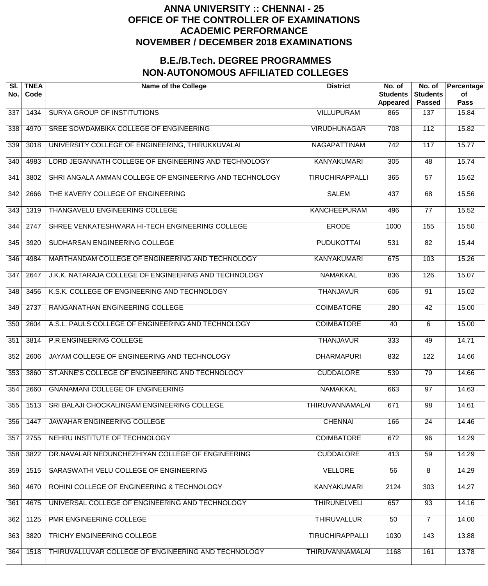| SI.<br>No.       | <b>TNEA</b><br>Code | <b>Name of the College</b>                              | <b>District</b>        | No. of<br><b>Students</b><br>Appeared | No. of<br><b>Students</b><br><b>Passed</b> | Percentage<br>of<br><b>Pass</b> |
|------------------|---------------------|---------------------------------------------------------|------------------------|---------------------------------------|--------------------------------------------|---------------------------------|
| 337              | 1434                | <b>SURYA GROUP OF INSTITUTIONS</b>                      | <b>VILLUPURAM</b>      | 865                                   | 137                                        | 15.84                           |
| 338              | 4970                | SREE SOWDAMBIKA COLLEGE OF ENGINEERING                  | <b>VIRUDHUNAGAR</b>    | 708                                   | 112                                        | 15.82                           |
| 339              | 3018                | UNIVERSITY COLLEGE OF ENGINEERING, THIRUKKUVALAI        | NAGAPATTINAM           | $\overline{742}$                      | 117                                        | 15.77                           |
| $\overline{340}$ | 4983                | LORD JEGANNATH COLLEGE OF ENGINEERING AND TECHNOLOGY    | <b>KANYAKUMARI</b>     | 305                                   | $\overline{48}$                            | 15.74                           |
| $\overline{341}$ | 3802                | SHRI ANGALA AMMAN COLLEGE OF ENGINEERING AND TECHNOLOGY | <b>TIRUCHIRAPPALLI</b> | 365                                   | $\overline{57}$                            | 15.62                           |
| $\overline{342}$ | 2666                | THE KAVERY COLLEGE OF ENGINEERING                       | <b>SALEM</b>           | 437                                   | 68                                         | 15.56                           |
| $\overline{343}$ | 1319                | THANGAVELU ENGINEERING COLLEGE                          | <b>KANCHEEPURAM</b>    | 496                                   | $\overline{77}$                            | 15.52                           |
| $\overline{344}$ | 2747                | SHREE VENKATESHWARA HI-TECH ENGINEERING COLLEGE         | <b>ERODE</b>           | 1000                                  | 155                                        | 15.50                           |
| 345              | 3920                | SUDHARSAN ENGINEERING COLLEGE                           | <b>PUDUKOTTAI</b>      | $\overline{531}$                      | 82                                         | 15.44                           |
| 346              | 4984                | MARTHANDAM COLLEGE OF ENGINEERING AND TECHNOLOGY        | <b>KANYAKUMARI</b>     | 675                                   | 103                                        | 15.26                           |
| $\overline{347}$ | 2647                | J.K.K. NATARAJA COLLEGE OF ENGINEERING AND TECHNOLOGY   | <b>NAMAKKAL</b>        | 836                                   | 126                                        | 15.07                           |
| 348              | 3456                | K.S.K. COLLEGE OF ENGINEERING AND TECHNOLOGY            | <b>THANJAVUR</b>       | 606                                   | $\overline{91}$                            | 15.02                           |
| 349              | 2737                | RANGANATHAN ENGINEERING COLLEGE                         | <b>COIMBATORE</b>      | 280                                   | $\overline{42}$                            | 15.00                           |
| 350              | 2604                | A.S.L. PAULS COLLEGE OF ENGINEERING AND TECHNOLOGY      | <b>COIMBATORE</b>      | 40                                    | 6                                          | 15.00                           |
| 351              | 3814                | P.R.ENGINEERING COLLEGE                                 | <b>THANJAVUR</b>       | 333                                   | 49                                         | 14.71                           |
| 352              | 2606                | JAYAM COLLEGE OF ENGINEERING AND TECHNOLOGY             | <b>DHARMAPURI</b>      | 832                                   | 122                                        | 14.66                           |
| 353              | 3860                | ST.ANNE'S COLLEGE OF ENGINEERING AND TECHNOLOGY         | <b>CUDDALORE</b>       | 539                                   | 79                                         | 14.66                           |
| 354              | 2660                | <b>GNANAMANI COLLEGE OF ENGINEERING</b>                 | <b>NAMAKKAL</b>        | 663                                   | 97                                         | 14.63                           |
| 355              | 1513                | SRI BALAJI CHOCKALINGAM ENGINEERING COLLEGE             | <b>THIRUVANNAMALAI</b> | 671                                   | $\overline{98}$                            | 14.61                           |
| 356              | 1447                | JAWAHAR ENGINEERING COLLEGE                             | <b>CHENNAI</b>         | 166                                   | $\overline{24}$                            | 14.46                           |
| 357              | 2755                | NEHRU INSTITUTE OF TECHNOLOGY                           | <b>COIMBATORE</b>      | 672                                   | 96                                         | 14.29                           |
| 358              | 3822                | DR.NAVALAR NEDUNCHEZHIYAN COLLEGE OF ENGINEERING        | <b>CUDDALORE</b>       | 413                                   | 59                                         | 14.29                           |
| 359              | 1515                | SARASWATHI VELU COLLEGE OF ENGINEERING                  | <b>VELLORE</b>         | 56                                    | $\overline{8}$                             | 14.29                           |
| 360              | 4670                | ROHINI COLLEGE OF ENGINEERING & TECHNOLOGY              | <b>KANYAKUMARI</b>     | 2124                                  | 303                                        | 14.27                           |
| 361              | 4675                | UNIVERSAL COLLEGE OF ENGINEERING AND TECHNOLOGY         | <b>THIRUNELVELI</b>    | 657                                   | $\overline{93}$                            | 14.16                           |
| 362              | 1125                | PMR ENGINEERING COLLEGE                                 | <b>THIRUVALLUR</b>     | 50                                    | 7                                          | 14.00                           |
| 363              | 3820                | TRICHY ENGINEERING COLLEGE                              | <b>TIRUCHIRAPPALLI</b> | 1030                                  | 143                                        | 13.88                           |
| 364              | 1518                | THIRUVALLUVAR COLLEGE OF ENGINEERING AND TECHNOLOGY     | <b>THIRUVANNAMALAI</b> | 1168                                  | 161                                        | 13.78                           |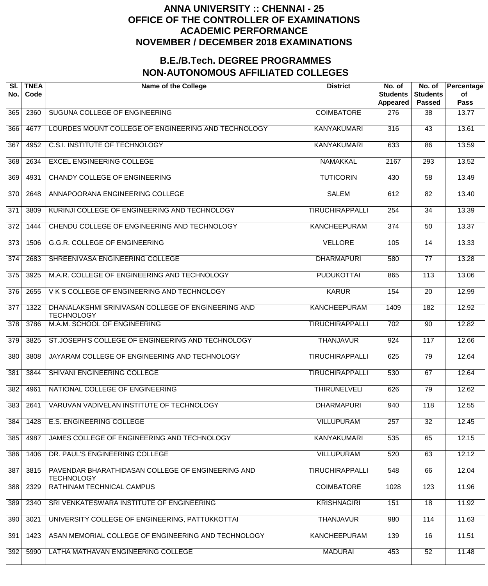| SI.<br>No.       | <b>TNEA</b><br>Code | <b>Name of the College</b>                                              | <b>District</b>        | No. of<br><b>Students</b><br>Appeared | No. of<br><b>Students</b><br><b>Passed</b> | Percentage<br>οf<br><b>Pass</b> |
|------------------|---------------------|-------------------------------------------------------------------------|------------------------|---------------------------------------|--------------------------------------------|---------------------------------|
| 365              | 2360                | SUGUNA COLLEGE OF ENGINEERING                                           | <b>COIMBATORE</b>      | 276                                   | 38                                         | 13.77                           |
| 366              | 4677                | LOURDES MOUNT COLLEGE OF ENGINEERING AND TECHNOLOGY                     | <b>KANYAKUMARI</b>     | 316                                   | $\overline{43}$                            | 13.61                           |
| $\overline{367}$ | 4952                | <b>C.S.I. INSTITUTE OF TECHNOLOGY</b>                                   | <b>KANYAKUMARI</b>     | 633                                   | 86                                         | 13.59                           |
| 368              | 2634                | <b>EXCEL ENGINEERING COLLEGE</b>                                        | <b>NAMAKKAL</b>        | 2167                                  | 293                                        | 13.52                           |
| 369              | 4931                | <b>CHANDY COLLEGE OF ENGINEERING</b>                                    | <b>TUTICORIN</b>       | 430                                   | $\overline{58}$                            | 13.49                           |
| $\overline{370}$ | 2648                | ANNAPOORANA ENGINEERING COLLEGE                                         | <b>SALEM</b>           | 612                                   | $\overline{82}$                            | 13.40                           |
| $\overline{371}$ | 3809                | KURINJI COLLEGE OF ENGINEERING AND TECHNOLOGY                           | <b>TIRUCHIRAPPALLI</b> | 254                                   | $\overline{34}$                            | 13.39                           |
| $\overline{372}$ | 1444                | CHENDU COLLEGE OF ENGINEERING AND TECHNOLOGY                            | <b>KANCHEEPURAM</b>    | $\overline{374}$                      | $\overline{50}$                            | 13.37                           |
| $\overline{373}$ | 1506                | <b>G.G.R. COLLEGE OF ENGINEERING</b>                                    | <b>VELLORE</b>         | 105                                   | 14                                         | 13.33                           |
| $\overline{374}$ | 2683                | SHREENIVASA ENGINEERING COLLEGE                                         | <b>DHARMAPURI</b>      | 580                                   | $\overline{77}$                            | 13.28                           |
| $\overline{375}$ | 3925                | M.A.R. COLLEGE OF ENGINEERING AND TECHNOLOGY                            | <b>PUDUKOTTAI</b>      | 865                                   | $\overline{113}$                           | 13.06                           |
| $\overline{376}$ | 2655                | VKS COLLEGE OF ENGINEERING AND TECHNOLOGY                               | <b>KARUR</b>           | 154                                   | $\overline{20}$                            | 12.99                           |
| $\overline{377}$ | 1322                | DHANALAKSHMI SRINIVASAN COLLEGE OF ENGINEERING AND<br><b>TECHNOLOGY</b> | <b>KANCHEEPURAM</b>    | 1409                                  | 182                                        | 12.92                           |
| $\overline{378}$ | 3786                | M.A.M. SCHOOL OF ENGINEERING                                            | <b>TIRUCHIRAPPALLI</b> | $\overline{702}$                      | $\overline{90}$                            | 12.82                           |
| $\overline{379}$ | 3825                | ST.JOSEPH'S COLLEGE OF ENGINEERING AND TECHNOLOGY                       | <b>THANJAVUR</b>       | 924                                   | 117                                        | 12.66                           |
| 380              | 3808                | JAYARAM COLLEGE OF ENGINEERING AND TECHNOLOGY                           | <b>TIRUCHIRAPPALLI</b> | 625                                   | 79                                         | 12.64                           |
| 381              | 3844                | SHIVANI ENGINEERING COLLEGE                                             | <b>TIRUCHIRAPPALLI</b> | 530                                   | 67                                         | 12.64                           |
| 382              | 4961                | NATIONAL COLLEGE OF ENGINEERING                                         | <b>THIRUNELVELI</b>    | 626                                   | 79                                         | 12.62                           |
| 383              | 2641                | VARUVAN VADIVELAN INSTITUTE OF TECHNOLOGY                               | <b>DHARMAPURI</b>      | 940                                   | 118                                        | 12.55                           |
| 384              | 1428                | <b>E.S. ENGINEERING COLLEGE</b>                                         | <b>VILLUPURAM</b>      | 257                                   | $\overline{32}$                            | 12.45                           |
| 385              | 4987                | JAMES COLLEGE OF ENGINEERING AND TECHNOLOGY                             | <b>KANYAKUMARI</b>     | 535                                   | 65                                         | 12.15                           |
| 386              | 1406                | DR. PAUL'S ENGINEERING COLLEGE                                          | <b>VILLUPURAM</b>      | 520                                   | 63                                         | 12.12                           |
| 387              | 3815                | PAVENDAR BHARATHIDASAN COLLEGE OF ENGINEERING AND<br><b>TECHNOLOGY</b>  | <b>TIRUCHIRAPPALLI</b> | 548                                   | 66                                         | 12.04                           |
| 388              | 2329                | RATHINAM TECHNICAL CAMPUS                                               | <b>COIMBATORE</b>      | 1028                                  | 123                                        | 11.96                           |
| 389              | 2340                | SRI VENKATESWARA INSTITUTE OF ENGINEERING                               | <b>KRISHNAGIRI</b>     | 151                                   | $\overline{18}$                            | 11.92                           |
| 390              | 3021                | UNIVERSITY COLLEGE OF ENGINEERING, PATTUKKOTTAI                         | <b>THANJAVUR</b>       | 980                                   | 114                                        | 11.63                           |
| 391              | 1423                | ASAN MEMORIAL COLLEGE OF ENGINEERING AND TECHNOLOGY                     | <b>KANCHEEPURAM</b>    | 139                                   | $\overline{16}$                            | 11.51                           |
| 392              | 5990                | LATHA MATHAVAN ENGINEERING COLLEGE                                      | <b>MADURAI</b>         | 453                                   | 52                                         | 11.48                           |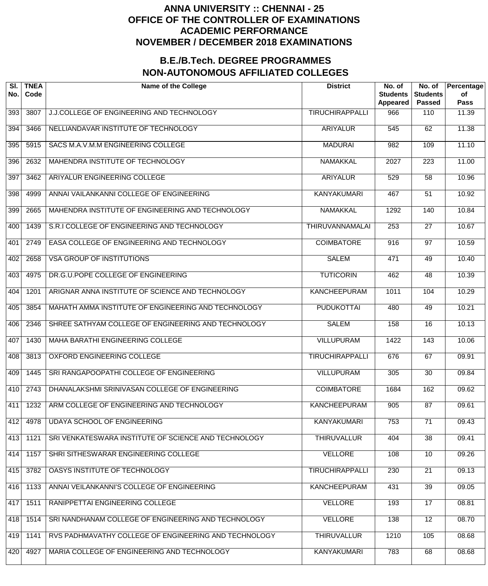| SI.<br>No. | <b>TNEA</b><br>Code | <b>Name of the College</b>                            | <b>District</b>        | No. of<br><b>Students</b><br><b>Appeared</b> | No. of<br><b>Students</b><br><b>Passed</b> | Percentage<br>of<br><b>Pass</b> |
|------------|---------------------|-------------------------------------------------------|------------------------|----------------------------------------------|--------------------------------------------|---------------------------------|
| 393        | 3807                | J.J.COLLEGE OF ENGINEERING AND TECHNOLOGY             | <b>TIRUCHIRAPPALLI</b> | 966                                          | 110                                        | 11.39                           |
| 394        | 3466                | NELLIANDAVAR INSTITUTE OF TECHNOLOGY                  | <b>ARIYALUR</b>        | 545                                          | 62                                         | 11.38                           |
| 395        | 5915                | SACS M.A.V.M.M ENGINEERING COLLEGE                    | <b>MADURAI</b>         | $\overline{982}$                             | 109                                        | 11.10                           |
| 396        | 2632                | <b>MAHENDRA INSTITUTE OF TECHNOLOGY</b>               | <b>NAMAKKAL</b>        | 2027                                         | $\overline{223}$                           | 11.00                           |
| 397        | 3462                | ARIYALUR ENGINEERING COLLEGE                          | <b>ARIYALUR</b>        | 529                                          | $\overline{58}$                            | 10.96                           |
| 398        | 4999                | ANNAI VAILANKANNI COLLEGE OF ENGINEERING              | <b>KANYAKUMARI</b>     | 467                                          | $\overline{51}$                            | 10.92                           |
| 399        | 2665                | MAHENDRA INSTITUTE OF ENGINEERING AND TECHNOLOGY      | <b>NAMAKKAL</b>        | 1292                                         | 140                                        | 10.84                           |
| 400        | 1439                | S.R.I COLLEGE OF ENGINEERING AND TECHNOLOGY           | <b>THIRUVANNAMALAI</b> | 253                                          | $\overline{27}$                            | 10.67                           |
| 401        | 2749                | EASA COLLEGE OF ENGINEERING AND TECHNOLOGY            | <b>COIMBATORE</b>      | 916                                          | $\overline{97}$                            | 10.59                           |
| 402        | 2658                | <b>VSA GROUP OF INSTITUTIONS</b>                      | <b>SALEM</b>           | 471                                          | 49                                         | 10.40                           |
| 403        | 4975                | DR.G.U.POPE COLLEGE OF ENGINEERING                    | <b>TUTICORIN</b>       | 462                                          | $\overline{48}$                            | 10.39                           |
| 404        | 1201                | ARIGNAR ANNA INSTITUTE OF SCIENCE AND TECHNOLOGY      | <b>KANCHEEPURAM</b>    | 1011                                         | 104                                        | 10.29                           |
| 405        | 3854                | MAHATH AMMA INSTITUTE OF ENGINEERING AND TECHNOLOGY   | <b>PUDUKOTTAI</b>      | 480                                          | 49                                         | 10.21                           |
| 406        | 2346                | SHREE SATHYAM COLLEGE OF ENGINEERING AND TECHNOLOGY   | <b>SALEM</b>           | 158                                          | $\overline{16}$                            | 10.13                           |
| 407        | 1430                | MAHA BARATHI ENGINEERING COLLEGE                      | <b>VILLUPURAM</b>      | 1422                                         | $\overline{143}$                           | 10.06                           |
| 408        | 3813                | <b>OXFORD ENGINEERING COLLEGE</b>                     | <b>TIRUCHIRAPPALLI</b> | 676                                          | 67                                         | 09.91                           |
| 409        | 1445                | SRI RANGAPOOPATHI COLLEGE OF ENGINEERING              | <b>VILLUPURAM</b>      | 305                                          | $\overline{30}$                            | 09.84                           |
| 410        | 2743                | DHANALAKSHMI SRINIVASAN COLLEGE OF ENGINEERING        | <b>COIMBATORE</b>      | 1684                                         | 162                                        | 09.62                           |
| 411        | 1232                | ARM COLLEGE OF ENGINEERING AND TECHNOLOGY             | <b>KANCHEEPURAM</b>    | 905                                          | $\overline{87}$                            | 09.61                           |
| 412        | 4978                | <b>UDAYA SCHOOL OF ENGINEERING</b>                    | <b>KANYAKUMARI</b>     | 753                                          | $\overline{71}$                            | 09.43                           |
| 413        | 1121                | SRI VENKATESWARA INSTITUTE OF SCIENCE AND TECHNOLOGY  | <b>THIRUVALLUR</b>     | 404                                          | $\overline{38}$                            | 09.41                           |
| 414        | 1157                | SHRI SITHESWARAR ENGINEERING COLLEGE                  | <b>VELLORE</b>         | 108                                          | $\overline{10}$                            | 09.26                           |
| 415        | 3782                | <b>OASYS INSTITUTE OF TECHNOLOGY</b>                  | <b>TIRUCHIRAPPALLI</b> | 230                                          | $\overline{21}$                            | 09.13                           |
| 416        | 1133                | ANNAI VEILANKANNI'S COLLEGE OF ENGINEERING            | <b>KANCHEEPURAM</b>    | 431                                          | $\overline{39}$                            | 09.05                           |
| 417        | 1511                | RANIPPETTAI ENGINEERING COLLEGE                       | <b>VELLORE</b>         | 193                                          | $\overline{17}$                            | 08.81                           |
| 418        | 1514                | SRI NANDHANAM COLLEGE OF ENGINEERING AND TECHNOLOGY   | <b>VELLORE</b>         | 138                                          | $\overline{12}$                            | 08.70                           |
| 419        | 1141                | RVS PADHMAVATHY COLLEGE OF ENGINEERING AND TECHNOLOGY | <b>THIRUVALLUR</b>     | 1210                                         | 105                                        | 08.68                           |
| 420        | 4927                | MARIA COLLEGE OF ENGINEERING AND TECHNOLOGY           | <b>KANYAKUMARI</b>     | 783                                          | 68                                         | 08.68                           |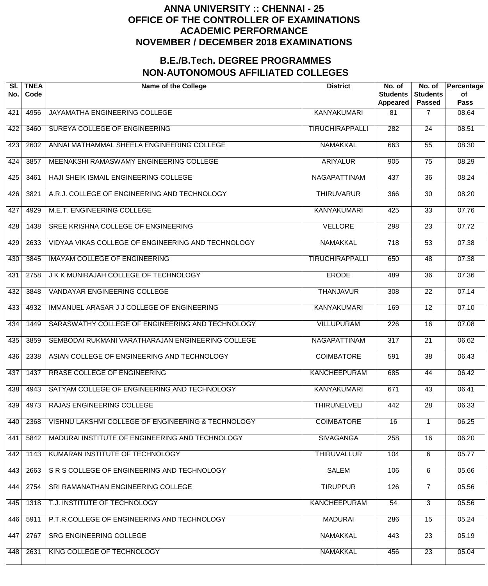| SI.<br>No. | <b>TNEA</b><br>Code | <b>Name of the College</b>                         | <b>District</b>        | No. of<br><b>Students</b><br>Appeared | No. of<br><b>Students</b><br><b>Passed</b> | Percentage<br>of<br><b>Pass</b> |
|------------|---------------------|----------------------------------------------------|------------------------|---------------------------------------|--------------------------------------------|---------------------------------|
| 421        | 4956                | JAYAMATHA ENGINEERING COLLEGE                      | <b>KANYAKUMARI</b>     | 81                                    | $\overline{7}$                             | 08.64                           |
| 422        | 3460                | SUREYA COLLEGE OF ENGINEERING                      | <b>TIRUCHIRAPPALLI</b> | 282                                   | $\overline{24}$                            | 08.51                           |
| 423        | 2602                | ANNAI MATHAMMAL SHEELA ENGINEERING COLLEGE         | <b>NAMAKKAL</b>        | 663                                   | $\overline{55}$                            | 08.30                           |
| 424        | 3857                | MEENAKSHI RAMASWAMY ENGINEERING COLLEGE            | <b>ARIYALUR</b>        | 905                                   | $\overline{75}$                            | 08.29                           |
| 425        | 3461                | HAJI SHEIK ISMAIL ENGINEERING COLLEGE              | <b>NAGAPATTINAM</b>    | 437                                   | $\overline{36}$                            | 08.24                           |
| 426        | 3821                | A.R.J. COLLEGE OF ENGINEERING AND TECHNOLOGY       | <b>THIRUVARUR</b>      | 366                                   | $\overline{30}$                            | 08.20                           |
| 427        | 4929                | M.E.T. ENGINEERING COLLEGE                         | <b>KANYAKUMARI</b>     | 425                                   | $\overline{33}$                            | 07.76                           |
| 428        | 1438                | SREE KRISHNA COLLEGE OF ENGINEERING                | <b>VELLORE</b>         | 298                                   | $\overline{23}$                            | 07.72                           |
| 429        | 2633                | VIDYAA VIKAS COLLEGE OF ENGINEERING AND TECHNOLOGY | <b>NAMAKKAL</b>        | $\overline{718}$                      | $\overline{53}$                            | 07.38                           |
| 430        | 3845                | <b>IMAYAM COLLEGE OF ENGINEERING</b>               | <b>TIRUCHIRAPPALLI</b> | 650                                   | 48                                         | 07.38                           |
| 431        | 2758                | J K K MUNIRAJAH COLLEGE OF TECHNOLOGY              | <b>ERODE</b>           | 489                                   | $\overline{36}$                            | 07.36                           |
| 432        | 3848                | <b>VANDAYAR ENGINEERING COLLEGE</b>                | <b>THANJAVUR</b>       | $\overline{308}$                      | $\overline{22}$                            | 07.14                           |
| 433        | 4932                | IMMANUEL ARASAR J J COLLEGE OF ENGINEERING         | <b>KANYAKUMARI</b>     | 169                                   | $\overline{12}$                            | 07.10                           |
| 434        | 1449                | SARASWATHY COLLEGE OF ENGINEERING AND TECHNOLOGY   | <b>VILLUPURAM</b>      | $\overline{226}$                      | $\overline{16}$                            | 07.08                           |
| 435        | 3859                | SEMBODAI RUKMANI VARATHARAJAN ENGINEERING COLLEGE  | NAGAPATTINAM           | $\overline{317}$                      | $\overline{21}$                            | 06.62                           |
| 436        | 2338                | ASIAN COLLEGE OF ENGINEERING AND TECHNOLOGY        | <b>COIMBATORE</b>      | 591                                   | $\overline{38}$                            | 06.43                           |
| 437        | 1437                | <b>RRASE COLLEGE OF ENGINEERING</b>                | <b>KANCHEEPURAM</b>    | 685                                   | 44                                         | 06.42                           |
| 438        | 4943                | SATYAM COLLEGE OF ENGINEERING AND TECHNOLOGY       | <b>KANYAKUMARI</b>     | 671                                   | 43                                         | 06.41                           |
| 439        | 4973                | RAJAS ENGINEERING COLLEGE                          | <b>THIRUNELVELI</b>    | 442                                   | $\overline{28}$                            | 06.33                           |
| 440        | 2368                | VISHNU LAKSHMI COLLEGE OF ENGINEERING & TECHNOLOGY | <b>COIMBATORE</b>      | $\overline{16}$                       |                                            | 06.25                           |
| 441        | 5842                | MADURAI INSTITUTE OF ENGINEERING AND TECHNOLOGY    | <b>SIVAGANGA</b>       | 258                                   | $\overline{16}$                            | 06.20                           |
| 442        | 1143                | KUMARAN INSTITUTE OF TECHNOLOGY                    | <b>THIRUVALLUR</b>     | 104                                   | $\overline{6}$                             | 05.77                           |
| 443        | 2663                | S R S COLLEGE OF ENGINEERING AND TECHNOLOGY        | <b>SALEM</b>           | 106                                   | 6                                          | 05.66                           |
| 444        | 2754                | SRI RAMANATHAN ENGINEERING COLLEGE                 | <b>TIRUPPUR</b>        | 126                                   | $\overline{7}$                             | 05.56                           |
| 445        | 1318                | T.J. INSTITUTE OF TECHNOLOGY                       | <b>KANCHEEPURAM</b>    | 54                                    | $\overline{3}$                             | 05.56                           |
| 446        | 5911                | P.T.R.COLLEGE OF ENGINEERING AND TECHNOLOGY        | <b>MADURAI</b>         | 286                                   | $\overline{15}$                            | 05.24                           |
| 447        | 2767                | SRG ENGINEERING COLLEGE                            | <b>NAMAKKAL</b>        | 443                                   | $\overline{23}$                            | 05.19                           |
| 448        | 2631                | KING COLLEGE OF TECHNOLOGY                         | <b>NAMAKKAL</b>        | 456                                   | $\overline{23}$                            | 05.04                           |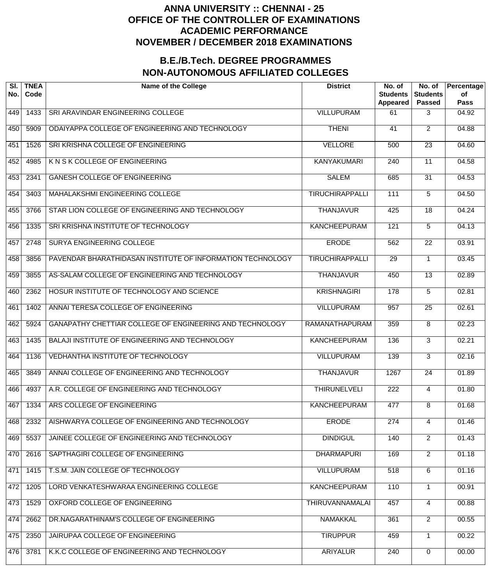| SI.<br>No. | <b>TNEA</b><br>Code | <b>Name of the College</b>                                 | <b>District</b>        | No. of<br><b>Students</b><br>Appeared | No. of<br><b>Students</b><br><b>Passed</b> | Percentage<br><b>of</b><br><b>Pass</b> |
|------------|---------------------|------------------------------------------------------------|------------------------|---------------------------------------|--------------------------------------------|----------------------------------------|
| 449        | 1433                | SRI ARAVINDAR ENGINEERING COLLEGE                          | <b>VILLUPURAM</b>      | 61                                    | 3                                          | 04.92                                  |
| 450        | 5909                | ODAIYAPPA COLLEGE OF ENGINEERING AND TECHNOLOGY            | <b>THENI</b>           | 41                                    | $\overline{2}$                             | 04.88                                  |
| 451        | 1526                | SRI KRISHNA COLLEGE OF ENGINEERING                         | <b>VELLORE</b>         | 500                                   | $\overline{23}$                            | 04.60                                  |
| 452        | 4985                | K N S K COLLEGE OF ENGINEERING                             | <b>KANYAKUMARI</b>     | 240                                   | $\overline{11}$                            | 04.58                                  |
| 453        | 2341                | <b>GANESH COLLEGE OF ENGINEERING</b>                       | <b>SALEM</b>           | 685                                   | $\overline{31}$                            | 04.53                                  |
| 454        | 3403                | MAHALAKSHMI ENGINEERING COLLEGE                            | <b>TIRUCHIRAPPALLI</b> | 111                                   | 5                                          | 04.50                                  |
| 455        | 3766                | STAR LION COLLEGE OF ENGINEERING AND TECHNOLOGY            | <b>THANJAVUR</b>       | 425                                   | $\overline{18}$                            | 04.24                                  |
| 456        | 1335                | SRI KRISHNA INSTITUTE OF TECHNOLOGY                        | <b>KANCHEEPURAM</b>    | 121                                   | 5                                          | 04.13                                  |
| 457        | 2748                | SURYA ENGINEERING COLLEGE                                  | <b>ERODE</b>           | 562                                   | $\overline{22}$                            | 03.91                                  |
| 458        | 3856                | PAVENDAR BHARATHIDASAN INSTITUTE OF INFORMATION TECHNOLOGY | <b>TIRUCHIRAPPALLI</b> | $\overline{29}$                       | 1                                          | 03.45                                  |
| 459        | 3855                | AS-SALAM COLLEGE OF ENGINEERING AND TECHNOLOGY             | <b>THANJAVUR</b>       | 450                                   | $\overline{13}$                            | 02.89                                  |
| 460        | 2362                | HOSUR INSTITUTE OF TECHNOLOGY AND SCIENCE                  | <b>KRISHNAGIRI</b>     | 178                                   | 5                                          | 02.81                                  |
| 461        | 1402                | ANNAI TERESA COLLEGE OF ENGINEERING                        | <b>VILLUPURAM</b>      | 957                                   | $\overline{25}$                            | 02.61                                  |
| 462        | 5924                | GANAPATHY CHETTIAR COLLEGE OF ENGINEERING AND TECHNOLOGY   | RAMANATHAPURAM         | 359                                   | 8                                          | 02.23                                  |
| 463        | 1435                | BALAJI INSTITUTE OF ENGINEERING AND TECHNOLOGY             | <b>KANCHEEPURAM</b>    | 136                                   | 3                                          | 02.21                                  |
| 464        | 1136                | <b>VEDHANTHA INSTITUTE OF TECHNOLOGY</b>                   | <b>VILLUPURAM</b>      | 139                                   | $\overline{3}$                             | 02.16                                  |
| 465        | 3849                | ANNAI COLLEGE OF ENGINEERING AND TECHNOLOGY                | <b>THANJAVUR</b>       | 1267                                  | $\overline{24}$                            | 01.89                                  |
| 466        | 4937                | A.R. COLLEGE OF ENGINEERING AND TECHNOLOGY                 | <b>THIRUNELVELI</b>    | $\overline{222}$                      | 4                                          | 01.80                                  |
| 467        | 1334                | ARS COLLEGE OF ENGINEERING                                 | <b>KANCHEEPURAM</b>    | 477                                   | $\overline{8}$                             | 01.68                                  |
| 468        | 2332                | AISHWARYA COLLEGE OF ENGINEERING AND TECHNOLOGY            | <b>ERODE</b>           | 274                                   | 4                                          | 01.46                                  |
| 469        | 5537                | JAINEE COLLEGE OF ENGINEERING AND TECHNOLOGY               | <b>DINDIGUL</b>        | 140                                   | $\overline{2}$                             | 01.43                                  |
| 470        | 2616                | SAPTHAGIRI COLLEGE OF ENGINEERING                          | <b>DHARMAPURI</b>      | 169                                   | $\overline{2}$                             | 01.18                                  |
| 471        | 1415                | T.S.M. JAIN COLLEGE OF TECHNOLOGY                          | <b>VILLUPURAM</b>      | 518                                   | 6                                          | 01.16                                  |
| 472        | 1205                | LORD VENKATESHWARAA ENGINEERING COLLEGE                    | <b>KANCHEEPURAM</b>    | 110                                   | $\mathbf 1$                                | 00.91                                  |
| 473        | 1529                | OXFORD COLLEGE OF ENGINEERING                              | <b>THIRUVANNAMALAI</b> | 457                                   | 4                                          | 00.88                                  |
| 474        | 2662                | DR.NAGARATHINAM'S COLLEGE OF ENGINEERING                   | <b>NAMAKKAL</b>        | 361                                   | $\overline{2}$                             | 00.55                                  |
| 475        | 2350                | JAIRUPAA COLLEGE OF ENGINEERING                            | <b>TIRUPPUR</b>        | 459                                   | 1                                          | 00.22                                  |
| 476        | 3781                | K.K.C COLLEGE OF ENGINEERING AND TECHNOLOGY                | <b>ARIYALUR</b>        | 240                                   | 0                                          | 00.00                                  |